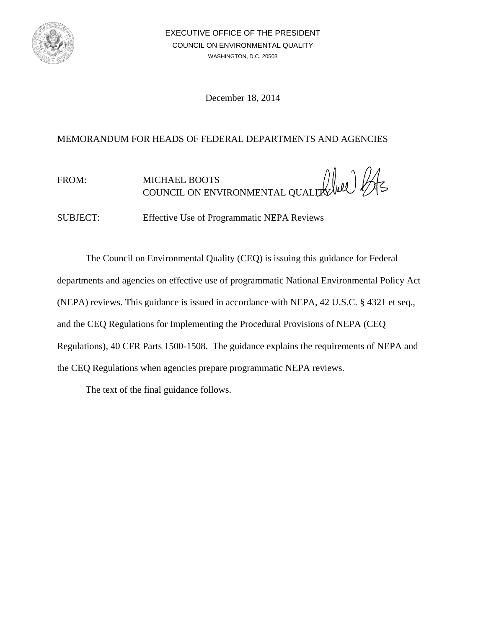

December 18, 2014

## MEMORANDUM FOR HEADS OF FEDERAL DEPARTMENTS AND AGENCIES

FROM: MICHAEL BOOTS COUNCIL ON ENVIRONMENTAL QUALITY

SUBJECT: Effective Use of Programmatic NEPA Reviews

The Council on Environmental Quality (CEQ) is issuing this guidance for Federal departments and agencies on effective use of programmatic National Environmental Policy Act (NEPA) reviews. This guidance is issued in accordance with NEPA, 42 U.S.C. § 4321 et seq., and the CEQ Regulations for Implementing the Procedural Provisions of NEPA (CEQ Regulations), 40 CFR Parts 1500-1508. The guidance explains the requirements of NEPA and the CEQ Regulations when agencies prepare programmatic NEPA reviews.

The text of the final guidance follows.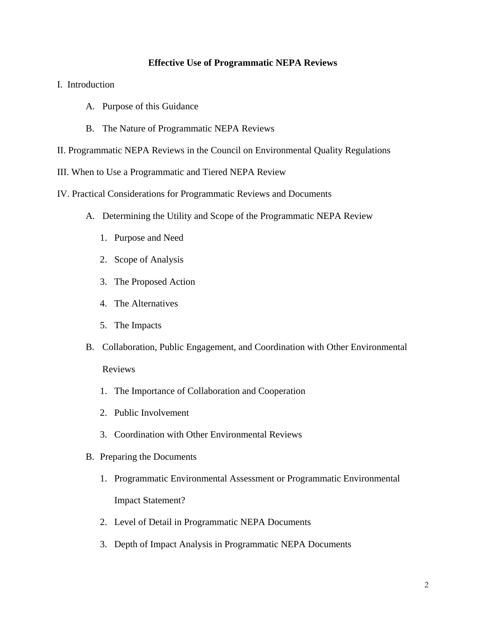#### **Effective Use of Programmatic NEPA Reviews**

- I. Introduction
	- A. Purpose of this Guidance
	- B. The Nature of Programmatic NEPA Reviews
- II. Programmatic NEPA Reviews in the Council on Environmental Quality Regulations
- III. When to Use a Programmatic and Tiered NEPA Review
- IV. Practical Considerations for Programmatic Reviews and Documents
	- A. Determining the Utility and Scope of the Programmatic NEPA Review
		- 1. Purpose and Need
		- 2. Scope of Analysis
		- 3. The Proposed Action
		- 4. The Alternatives
		- 5. The Impacts
	- B. Collaboration, Public Engagement, and Coordination with Other Environmental

#### Reviews

- 1. The Importance of Collaboration and Cooperation
- 2. Public Involvement
- 3. Coordination with Other Environmental Reviews
- B. Preparing the Documents
	- 1. Programmatic Environmental Assessment or Programmatic Environmental Impact Statement?
	- 2. Level of Detail in Programmatic NEPA Documents
	- 3. Depth of Impact Analysis in Programmatic NEPA Documents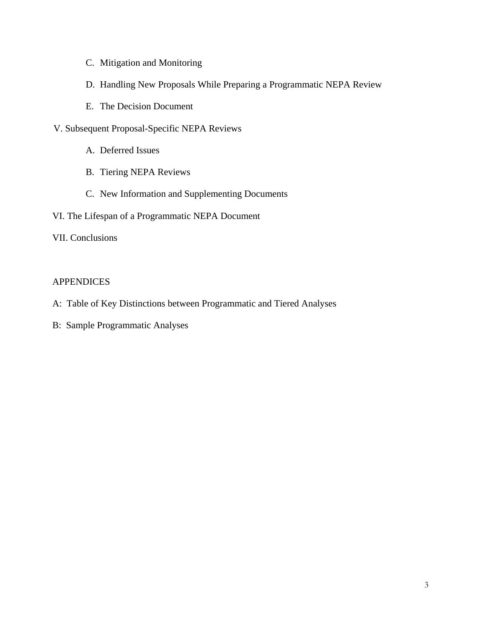- C. Mitigation and Monitoring
- D. Handling New Proposals While Preparing a Programmatic NEPA Review
- E. The Decision Document
- V. Subsequent Proposal-Specific NEPA Reviews
	- A. Deferred Issues
	- B. Tiering NEPA Reviews
	- C. New Information and Supplementing Documents
- VI. The Lifespan of a Programmatic NEPA Document

## VII. Conclusions

## APPENDICES

- A: Table of Key Distinctions between Programmatic and Tiered Analyses
- B: Sample Programmatic Analyses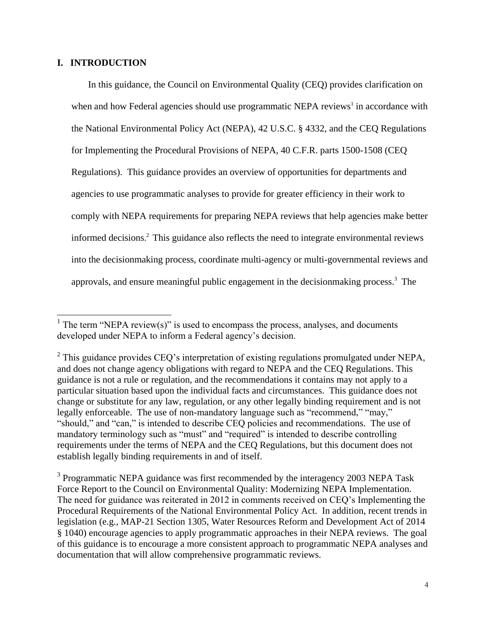### **I. INTRODUCTION**

In this guidance, the Council on Environmental Quality (CEQ) provides clarification on when and how Federal agencies should use programmatic NEPA reviews<sup>1</sup> in accordance with the National Environmental Policy Act (NEPA), 42 U.S.C. § 4332, and the CEQ Regulations for Implementing the Procedural Provisions of NEPA, 40 C.F.R. parts 1500-1508 (CEQ Regulations). This guidance provides an overview of opportunities for departments and agencies to use programmatic analyses to provide for greater efficiency in their work to comply with NEPA requirements for preparing NEPA reviews that help agencies make better informed decisions. <sup>2</sup> This guidance also reflects the need to integrate environmental reviews into the decisionmaking process, coordinate multi-agency or multi-governmental reviews and approvals, and ensure meaningful public engagement in the decisionmaking process.<sup>3</sup> The

<sup>&</sup>lt;sup>1</sup> The term "NEPA review(s)" is used to encompass the process, analyses, and documents developed under NEPA to inform a Federal agency's decision.

 $2$  This guidance provides CEQ's interpretation of existing regulations promulgated under NEPA, and does not change agency obligations with regard to NEPA and the CEQ Regulations. This guidance is not a rule or regulation, and the recommendations it contains may not apply to a particular situation based upon the individual facts and circumstances. This guidance does not change or substitute for any law, regulation, or any other legally binding requirement and is not legally enforceable. The use of non-mandatory language such as "recommend," "may," "should," and "can," is intended to describe CEQ policies and recommendations. The use of mandatory terminology such as "must" and "required" is intended to describe controlling requirements under the terms of NEPA and the CEQ Regulations, but this document does not establish legally binding requirements in and of itself.

<sup>&</sup>lt;sup>3</sup> Programmatic NEPA guidance was first recommended by the interagency 2003 NEPA Task Force Report to the Council on Environmental Quality: Modernizing NEPA Implementation. The need for guidance was reiterated in 2012 in comments received on CEQ's Implementing the Procedural Requirements of the National Environmental Policy Act. In addition, recent trends in legislation (e.g., MAP-21 Section 1305, Water Resources Reform and Development Act of 2014 § 1040) encourage agencies to apply programmatic approaches in their NEPA reviews. The goal of this guidance is to encourage a more consistent approach to programmatic NEPA analyses and documentation that will allow comprehensive programmatic reviews.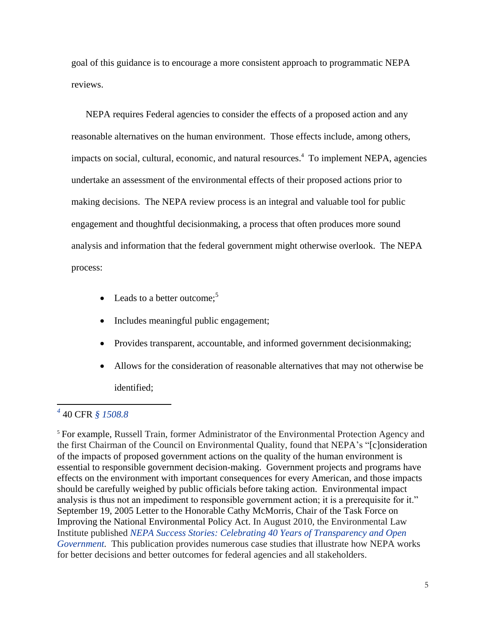goal of this guidance is to encourage a more consistent approach to programmatic NEPA reviews.

NEPA requires Federal agencies to consider the effects of a proposed action and any reasonable alternatives on the human environment. Those effects include, among others, impacts on social, cultural, economic, and natural resources.<sup>4</sup> To implement NEPA, agencies undertake an assessment of the environmental effects of their proposed actions prior to making decisions. The NEPA review process is an integral and valuable tool for public engagement and thoughtful decisionmaking, a process that often produces more sound analysis and information that the federal government might otherwise overlook. The NEPA process:

- Leads to a better outcome;<sup>5</sup>
- Includes meaningful public engagement;
- Provides transparent, accountable, and informed government decisionmaking;
- Allows for the consideration of reasonable alternatives that may not otherwise be identified;

## *4* 40 CFR *§ 1508.8*

 $\overline{\phantom{a}}$ 

<sup>5</sup> For example, Russell Train, former Administrator of the Environmental Protection Agency and the first Chairman of the Council on Environmental Quality, found that NEPA's "[c]onsideration of the impacts of proposed government actions on the quality of the human environment is essential to responsible government decision-making. Government projects and programs have effects on the environment with important consequences for every American, and those impacts should be carefully weighed by public officials before taking action. Environmental impact analysis is thus not an impediment to responsible government action; it is a prerequisite for it." September 19, 2005 Letter to the Honorable Cathy McMorris, Chair of the Task Force on Improving the National Environmental Policy Act. In August 2010, the Environmental Law Institute published *[NEPA Success Stories: Celebrating 40 Years of Transparency and Open](https://ceq.doe.gov/nepa_information/NEPA_Success_Stories.pdf)  [Government.](https://ceq.doe.gov/nepa_information/NEPA_Success_Stories.pdf)* This publication provides numerous case studies that illustrate how NEPA works for better decisions and better outcomes for federal agencies and all stakeholders.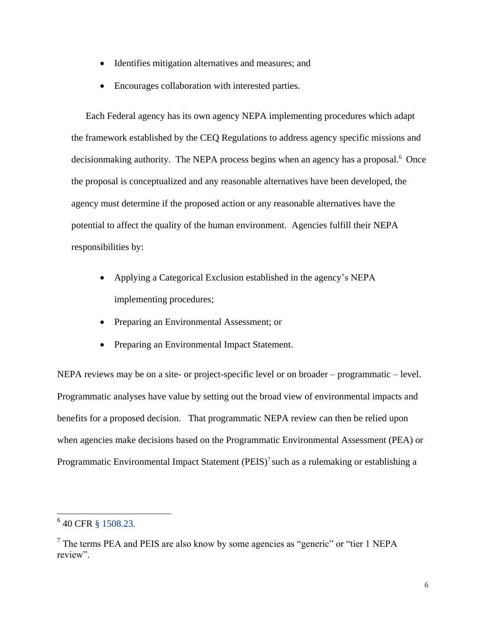- Identifies mitigation alternatives and measures; and
- Encourages collaboration with interested parties.

Each Federal agency has its own agency NEPA implementing procedures which adapt the framework established by the CEQ Regulations to address agency specific missions and decisionmaking authority. The NEPA process begins when an agency has a proposal.<sup>6</sup> Once the proposal is conceptualized and any reasonable alternatives have been developed, the agency must determine if the proposed action or any reasonable alternatives have the potential to affect the quality of the human environment. Agencies fulfill their NEPA responsibilities by:

- Applying a Categorical Exclusion established in the agency's NEPA implementing procedures;
- Preparing an Environmental Assessment; or
- Preparing an Environmental Impact Statement.

NEPA reviews may be on a site- or project-specific level or on broader – programmatic – level. Programmatic analyses have value by setting out the broad view of environmental impacts and benefits for a proposed decision. That programmatic NEPA review can then be relied upon when agencies make decisions based on the Programmatic Environmental Assessment (PEA) or Programmatic Environmental Impact Statement  $(PEIS)^7$  such as a rulemaking or establishing a

 6 40 CFR [§ 1508.23.](http://www.ecfr.gov/cgi-bin/text-idx?SID=8310586d4aa2c21bc699d2ea72295a78&node=se40.33.1508_123&rgn=div8)

<sup>&</sup>lt;sup>7</sup> The terms PEA and PEIS are also know by some agencies as "generic" or "tier 1 NEPA review".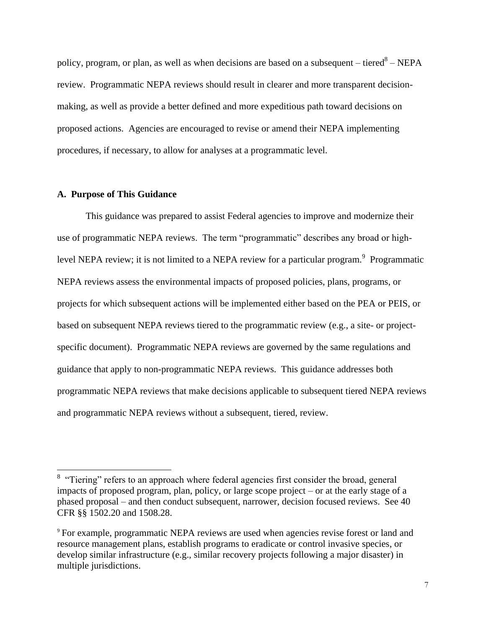policy, program, or plan, as well as when decisions are based on a subsequent – tiered<sup>8</sup> – NEPA review. Programmatic NEPA reviews should result in clearer and more transparent decisionmaking, as well as provide a better defined and more expeditious path toward decisions on proposed actions. Agencies are encouraged to revise or amend their NEPA implementing procedures, if necessary, to allow for analyses at a programmatic level.

#### **A. Purpose of This Guidance**

 $\overline{\phantom{a}}$ 

This guidance was prepared to assist Federal agencies to improve and modernize their use of programmatic NEPA reviews. The term "programmatic" describes any broad or highlevel NEPA review; it is not limited to a NEPA review for a particular program.<sup>9</sup> Programmatic NEPA reviews assess the environmental impacts of proposed policies, plans, programs, or projects for which subsequent actions will be implemented either based on the PEA or PEIS, or based on subsequent NEPA reviews tiered to the programmatic review (e.g., a site- or projectspecific document). Programmatic NEPA reviews are governed by the same regulations and guidance that apply to non-programmatic NEPA reviews. This guidance addresses both programmatic NEPA reviews that make decisions applicable to subsequent tiered NEPA reviews and programmatic NEPA reviews without a subsequent, tiered, review.

<sup>&</sup>lt;sup>8</sup> "Tiering" refers to an approach where federal agencies first consider the broad, general impacts of proposed program, plan, policy, or large scope project – or at the early stage of a phased proposal – and then conduct subsequent, narrower, decision focused reviews. See 40 CFR §§ 1502.20 and 1508.28.

<sup>9</sup> For example, programmatic NEPA reviews are used when agencies revise forest or land and resource management plans, establish programs to eradicate or control invasive species, or develop similar infrastructure (e.g., similar recovery projects following a major disaster) in multiple jurisdictions.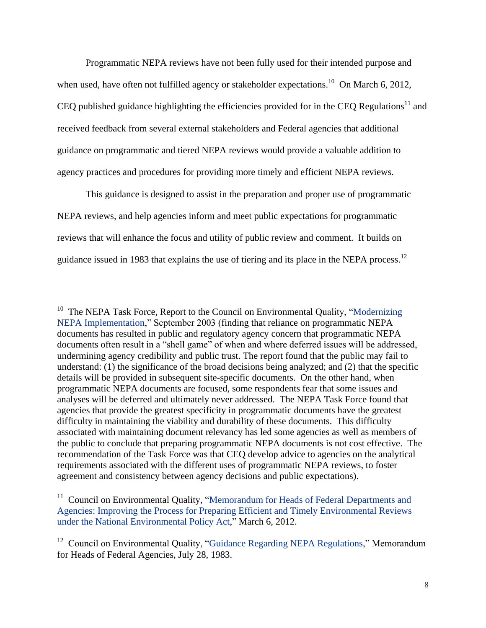Programmatic NEPA reviews have not been fully used for their intended purpose and when used, have often not fulfilled agency or stakeholder expectations.<sup>10</sup> On March 6, 2012, CEQ published guidance highlighting the efficiencies provided for in the CEQ Regulations<sup>11</sup> and received feedback from several external stakeholders and Federal agencies that additional guidance on programmatic and tiered NEPA reviews would provide a valuable addition to agency practices and procedures for providing more timely and efficient NEPA reviews.

This guidance is designed to assist in the preparation and proper use of programmatic NEPA reviews, and help agencies inform and meet public expectations for programmatic reviews that will enhance the focus and utility of public review and comment. It builds on guidance issued in 1983 that explains the use of tiering and its place in the NEPA process.<sup>12</sup>

<sup>&</sup>lt;sup>10</sup> The NEPA Task Force, Report to the Council on Environmental Quality, "Modernizing [NEPA Implementation,](https://ceq.doe.gov/ntf/20030929memo.pdf)" September 2003 (finding that reliance on programmatic NEPA documents has resulted in public and regulatory agency concern that programmatic NEPA documents often result in a "shell game" of when and where deferred issues will be addressed, undermining agency credibility and public trust. The report found that the public may fail to understand: (1) the significance of the broad decisions being analyzed; and (2) that the specific details will be provided in subsequent site-specific documents. On the other hand, when programmatic NEPA documents are focused, some respondents fear that some issues and analyses will be deferred and ultimately never addressed. The NEPA Task Force found that agencies that provide the greatest specificity in programmatic documents have the greatest difficulty in maintaining the viability and durability of these documents. This difficulty associated with maintaining document relevancy has led some agencies as well as members of the public to conclude that preparing programmatic NEPA documents is not cost effective. The recommendation of the Task Force was that CEQ develop advice to agencies on the analytical requirements associated with the different uses of programmatic NEPA reviews, to foster agreement and consistency between agency decisions and public expectations).

<sup>&</sup>lt;sup>11</sup> Council on Environmental Quality, "Memorandum for Heads of Federal Departments and [Agencies: Improving the Process for Preparing Efficient and Timely Environmental Reviews](https://ceq.doe.gov/current_developments/docs/Improving_NEPA_Efficiencies_06Mar2012.pdf)  [under the National Environmental Policy Act,](https://ceq.doe.gov/current_developments/docs/Improving_NEPA_Efficiencies_06Mar2012.pdf)" March 6, 2012.

 $12$  Council on Environmental Quality, ["Guidance Regarding NEPA Regulations,](http://ceq.doe.gov/nepa/regs/1983/1983guid.htm)" Memorandum for Heads of Federal Agencies, July 28, 1983.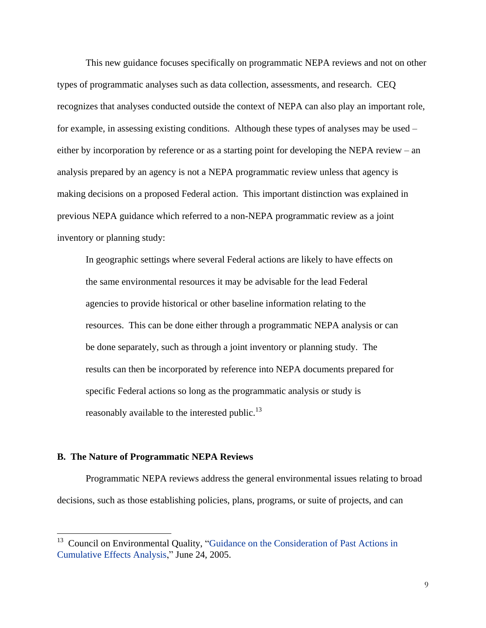This new guidance focuses specifically on programmatic NEPA reviews and not on other types of programmatic analyses such as data collection, assessments, and research. CEQ recognizes that analyses conducted outside the context of NEPA can also play an important role, for example, in assessing existing conditions. Although these types of analyses may be used – either by incorporation by reference or as a starting point for developing the NEPA review – an analysis prepared by an agency is not a NEPA programmatic review unless that agency is making decisions on a proposed Federal action. This important distinction was explained in previous NEPA guidance which referred to a non-NEPA programmatic review as a joint inventory or planning study:

In geographic settings where several Federal actions are likely to have effects on the same environmental resources it may be advisable for the lead Federal agencies to provide historical or other baseline information relating to the resources. This can be done either through a programmatic NEPA analysis or can be done separately, such as through a joint inventory or planning study. The results can then be incorporated by reference into NEPA documents prepared for specific Federal actions so long as the programmatic analysis or study is reasonably available to the interested public.<sup>13</sup>

#### **B. The Nature of Programmatic NEPA Reviews**

 $\overline{\phantom{a}}$ 

Programmatic NEPA reviews address the general environmental issues relating to broad decisions, such as those establishing policies, plans, programs, or suite of projects, and can

<sup>&</sup>lt;sup>13</sup> Council on Environmental Quality, "Guidance on the Consideration of Past Actions in [Cumulative Effects Analysis,](http://ceq.doe.gov/nepa/regs/Guidance_on_CE.pdf)" June 24, 2005.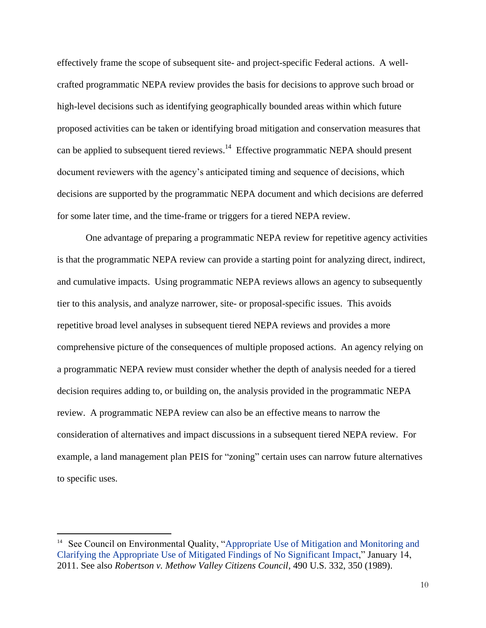effectively frame the scope of subsequent site- and project-specific Federal actions. A wellcrafted programmatic NEPA review provides the basis for decisions to approve such broad or high-level decisions such as identifying geographically bounded areas within which future proposed activities can be taken or identifying broad mitigation and conservation measures that can be applied to subsequent tiered reviews.<sup>14</sup> Effective programmatic NEPA should present document reviewers with the agency's anticipated timing and sequence of decisions, which decisions are supported by the programmatic NEPA document and which decisions are deferred for some later time, and the time-frame or triggers for a tiered NEPA review.

One advantage of preparing a programmatic NEPA review for repetitive agency activities is that the programmatic NEPA review can provide a starting point for analyzing direct, indirect, and cumulative impacts. Using programmatic NEPA reviews allows an agency to subsequently tier to this analysis, and analyze narrower, site- or proposal-specific issues. This avoids repetitive broad level analyses in subsequent tiered NEPA reviews and provides a more comprehensive picture of the consequences of multiple proposed actions. An agency relying on a programmatic NEPA review must consider whether the depth of analysis needed for a tiered decision requires adding to, or building on, the analysis provided in the programmatic NEPA review. A programmatic NEPA review can also be an effective means to narrow the consideration of alternatives and impact discussions in a subsequent tiered NEPA review. For example, a land management plan PEIS for "zoning" certain uses can narrow future alternatives to specific uses.

 $\overline{a}$ 

<sup>&</sup>lt;sup>14</sup> See Council on Environmental Quality, "Appropriate Use of Mitigation and Monitoring and [Clarifying the Appropriate Use of Mitigated Findings of No Significant Impact,](https://ceq.doe.gov/current_developments/docs/Mitigation_and_Monitoring_Guidance_14Jan2011.pdf)" January 14, 2011. See also *Robertson v. Methow Valley Citizens Council*, 490 U.S. 332, 350 (1989).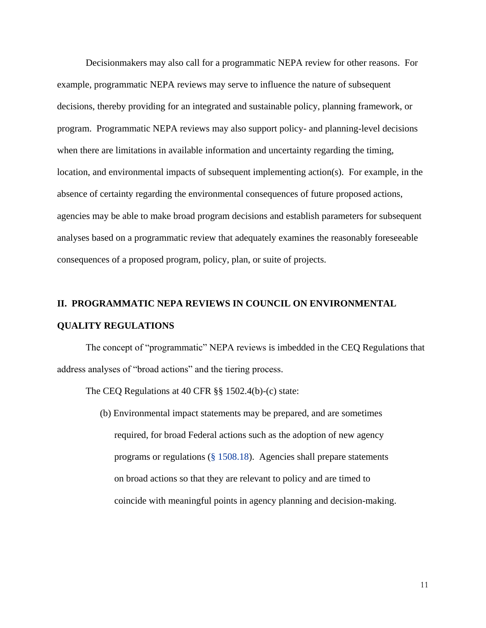Decisionmakers may also call for a programmatic NEPA review for other reasons. For example, programmatic NEPA reviews may serve to influence the nature of subsequent decisions, thereby providing for an integrated and sustainable policy, planning framework, or program. Programmatic NEPA reviews may also support policy- and planning-level decisions when there are limitations in available information and uncertainty regarding the timing, location, and environmental impacts of subsequent implementing action(s). For example, in the absence of certainty regarding the environmental consequences of future proposed actions, agencies may be able to make broad program decisions and establish parameters for subsequent analyses based on a programmatic review that adequately examines the reasonably foreseeable consequences of a proposed program, policy, plan, or suite of projects.

## **II. PROGRAMMATIC NEPA REVIEWS IN COUNCIL ON ENVIRONMENTAL**

#### **QUALITY REGULATIONS**

The concept of "programmatic" NEPA reviews is imbedded in the CEQ Regulations that address analyses of "broad actions" and the tiering process.

The CEQ Regulations at 40 CFR §§ [1502.4\(b\)-\(c\)](http://www.ecfr.gov/cgi-bin/text-idx?SID=a2fed9fc5b6051537973a611bd8c737d&node=se40.33.1502_14&rgn=div8) state:

(b) Environmental impact statements may be prepared, and are sometimes required, for broad Federal actions such as the adoption of new agency programs or regulations [\(§ 1508.18\)](http://www.ecfr.gov/cgi-bin/text-idx?SID=a2fed9fc5b6051537973a611bd8c737d&node=se40.33.1508_118&rgn=div8). Agencies shall prepare statements on broad actions so that they are relevant to policy and are timed to coincide with meaningful points in agency planning and decision-making.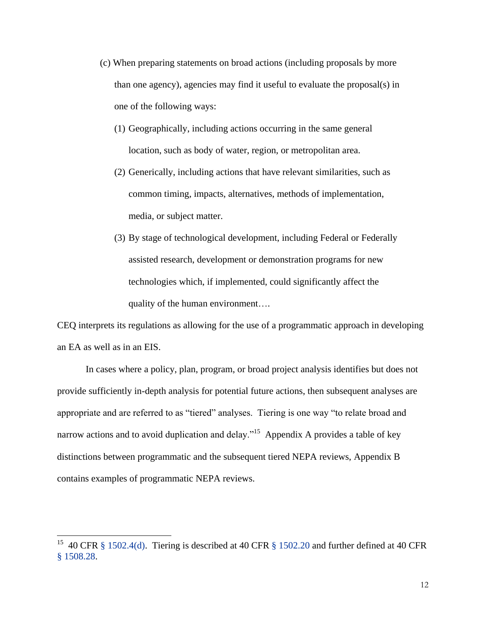- (c) When preparing statements on broad actions (including proposals by more than one agency), agencies may find it useful to evaluate the proposal(s) in one of the following ways:
	- (1) Geographically, including actions occurring in the same general location, such as body of water, region, or metropolitan area.
	- (2) Generically, including actions that have relevant similarities, such as common timing, impacts, alternatives, methods of implementation, media, or subject matter.
	- (3) By stage of technological development, including Federal or Federally assisted research, development or demonstration programs for new technologies which, if implemented, could significantly affect the quality of the human environment….

CEQ interprets its regulations as allowing for the use of a programmatic approach in developing an EA as well as in an EIS.

In cases where a policy, plan, program, or broad project analysis identifies but does not provide sufficiently in-depth analysis for potential future actions, then subsequent analyses are appropriate and are referred to as "tiered" analyses. Tiering is one way "to relate broad and narrow actions and to avoid duplication and delay."<sup>15</sup> Appendix A provides a table of key distinctions between programmatic and the subsequent tiered NEPA reviews, Appendix B contains examples of programmatic NEPA reviews.

l

<sup>&</sup>lt;sup>15</sup> 40 CFR [§ 1502.4\(d\).](http://www.ecfr.gov/cgi-bin/text-idx?SID=99896af55e27339b3879aa579d4dda45&node=se40.33.1502_14&rgn=div8) Tiering is described at 40 CFR [§ 1502.20](http://www.ecfr.gov/cgi-bin/text-idx?SID=99896af55e27339b3879aa579d4dda45&node=se40.33.1502_120&rgn=div8) and further defined at 40 CFR [§ 1508.28.](http://www.ecfr.gov/cgi-bin/text-idx?SID=99896af55e27339b3879aa579d4dda45&node=se40.33.1508_128&rgn=div8)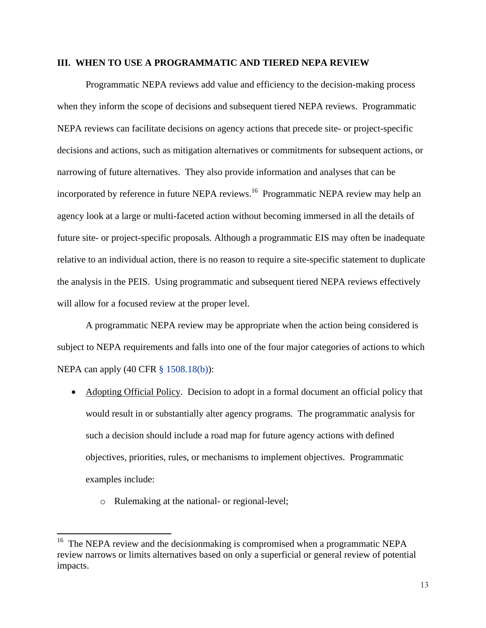### **III. WHEN TO USE A PROGRAMMATIC AND TIERED NEPA REVIEW**

Programmatic NEPA reviews add value and efficiency to the decision-making process when they inform the scope of decisions and subsequent tiered NEPA reviews. Programmatic NEPA reviews can facilitate decisions on agency actions that precede site- or project-specific decisions and actions, such as mitigation alternatives or commitments for subsequent actions, or narrowing of future alternatives. They also provide information and analyses that can be incorporated by reference in future NEPA reviews.<sup>16</sup> Programmatic NEPA review may help an agency look at a large or multi-faceted action without becoming immersed in all the details of future site- or project-specific proposals. Although a programmatic EIS may often be inadequate relative to an individual action, there is no reason to require a site-specific statement to duplicate the analysis in the PEIS. Using programmatic and subsequent tiered NEPA reviews effectively will allow for a focused review at the proper level.

A programmatic NEPA review may be appropriate when the action being considered is subject to NEPA requirements and falls into one of the four major categories of actions to which NEPA can apply (40 CFR § [1508.18\(b\)\)](http://www.ecfr.gov/cgi-bin/text-idx?SID=a2fed9fc5b6051537973a611bd8c737d&node=se40.33.1508_118&rgn=div8):

- Adopting Official Policy. Decision to adopt in a formal document an official policy that would result in or substantially alter agency programs. The programmatic analysis for such a decision should include a road map for future agency actions with defined objectives, priorities, rules, or mechanisms to implement objectives. Programmatic examples include:
	- o Rulemaking at the national- or regional-level;

 $\overline{a}$ 

<sup>&</sup>lt;sup>16</sup> The NEPA review and the decisionmaking is compromised when a programmatic NEPA review narrows or limits alternatives based on only a superficial or general review of potential impacts.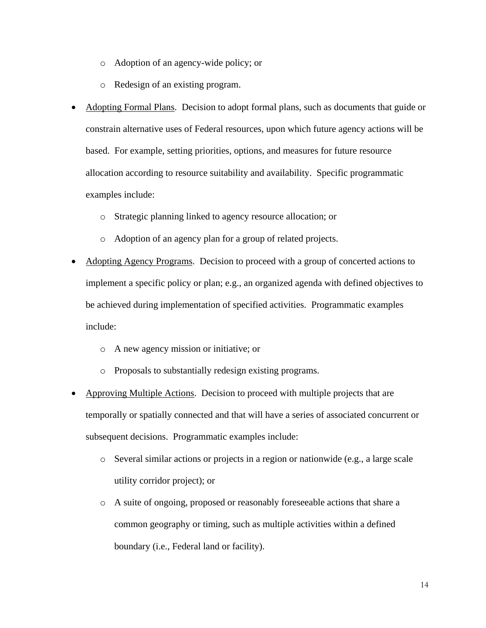- o Adoption of an agency-wide policy; or
- o Redesign of an existing program.
- Adopting Formal Plans. Decision to adopt formal plans, such as documents that guide or constrain alternative uses of Federal resources, upon which future agency actions will be based. For example, setting priorities, options, and measures for future resource allocation according to resource suitability and availability. Specific programmatic examples include:
	- o Strategic planning linked to agency resource allocation; or
	- o Adoption of an agency plan for a group of related projects.
- Adopting Agency Programs. Decision to proceed with a group of concerted actions to implement a specific policy or plan; e.g., an organized agenda with defined objectives to be achieved during implementation of specified activities. Programmatic examples include:
	- o A new agency mission or initiative; or
	- o Proposals to substantially redesign existing programs.
- Approving Multiple Actions. Decision to proceed with multiple projects that are temporally or spatially connected and that will have a series of associated concurrent or subsequent decisions. Programmatic examples include:
	- o Several similar actions or projects in a region or nationwide (e.g., a large scale utility corridor project); or
	- o A suite of ongoing, proposed or reasonably foreseeable actions that share a common geography or timing, such as multiple activities within a defined boundary (i.e., Federal land or facility).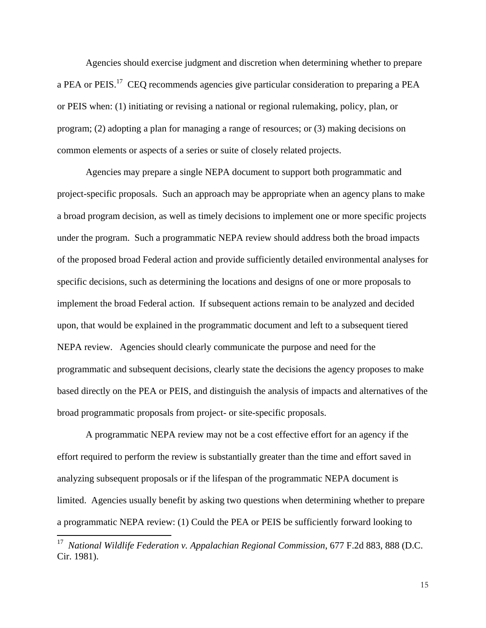Agencies should exercise judgment and discretion when determining whether to prepare a PEA or PEIS.<sup>17</sup> CEQ recommends agencies give particular consideration to preparing a PEA or PEIS when: (1) initiating or revising a national or regional rulemaking, policy, plan, or program; (2) adopting a plan for managing a range of resources; or (3) making decisions on common elements or aspects of a series or suite of closely related projects.

Agencies may prepare a single NEPA document to support both programmatic and project-specific proposals. Such an approach may be appropriate when an agency plans to make a broad program decision, as well as timely decisions to implement one or more specific projects under the program. Such a programmatic NEPA review should address both the broad impacts of the proposed broad Federal action and provide sufficiently detailed environmental analyses for specific decisions, such as determining the locations and designs of one or more proposals to implement the broad Federal action. If subsequent actions remain to be analyzed and decided upon, that would be explained in the programmatic document and left to a subsequent tiered NEPA review. Agencies should clearly communicate the purpose and need for the programmatic and subsequent decisions, clearly state the decisions the agency proposes to make based directly on the PEA or PEIS, and distinguish the analysis of impacts and alternatives of the broad programmatic proposals from project- or site-specific proposals.

A programmatic NEPA review may not be a cost effective effort for an agency if the effort required to perform the review is substantially greater than the time and effort saved in analyzing subsequent proposals or if the lifespan of the programmatic NEPA document is limited. Agencies usually benefit by asking two questions when determining whether to prepare a programmatic NEPA review: (1) Could the PEA or PEIS be sufficiently forward looking to

 17 *National Wildlife Federation v. Appalachian Regional Commission*, 677 F.2d 883, 888 (D.C. Cir. 1981).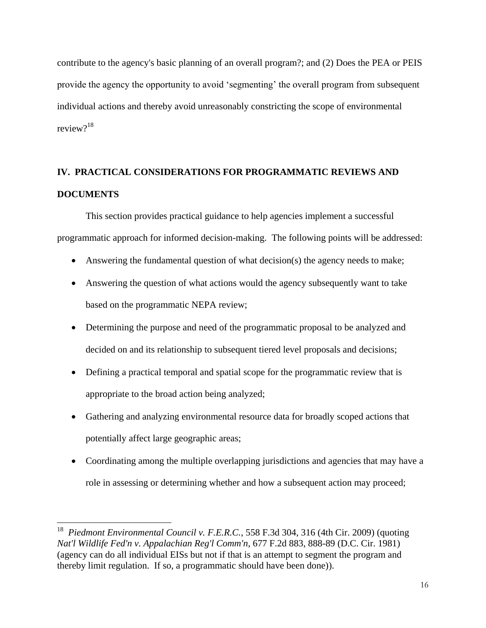contribute to the agency's basic planning of an overall program?; and (2) Does the PEA or PEIS provide the agency the opportunity to avoid 'segmenting' the overall program from subsequent individual actions and thereby avoid unreasonably constricting the scope of environmental review?<sup>18</sup>

## **IV. PRACTICAL CONSIDERATIONS FOR PROGRAMMATIC REVIEWS AND DOCUMENTS**

This section provides practical guidance to help agencies implement a successful programmatic approach for informed decision-making. The following points will be addressed:

- Answering the fundamental question of what decision(s) the agency needs to make;
- Answering the question of what actions would the agency subsequently want to take based on the programmatic NEPA review;
- Determining the purpose and need of the programmatic proposal to be analyzed and decided on and its relationship to subsequent tiered level proposals and decisions;
- Defining a practical temporal and spatial scope for the programmatic review that is appropriate to the broad action being analyzed;
- Gathering and analyzing environmental resource data for broadly scoped actions that potentially affect large geographic areas;
- Coordinating among the multiple overlapping jurisdictions and agencies that may have a role in assessing or determining whether and how a subsequent action may proceed;

<sup>18</sup> *Piedmont Environmental Council v. F.E.R.C.*, 558 F.3d 304, 316 (4th Cir. 2009) (quoting *Nat'l Wildlife Fed'n v. Appalachian Reg'l Comm'n*, 677 F.2d 883, 888-89 (D.C. Cir. 1981) (agency can do all individual EISs but not if that is an attempt to segment the program and thereby limit regulation. If so, a programmatic should have been done)).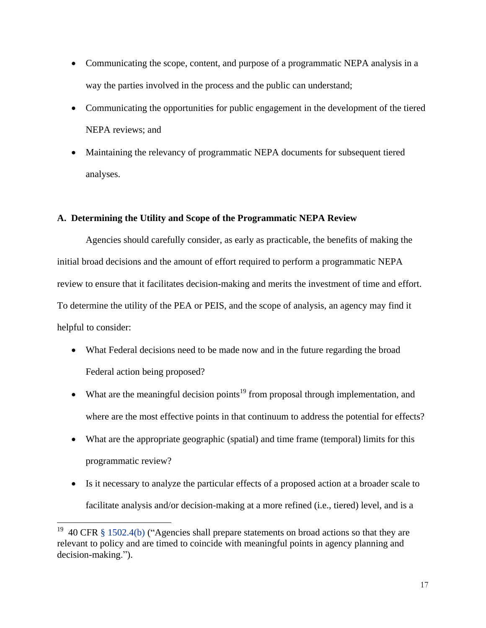- Communicating the scope, content, and purpose of a programmatic NEPA analysis in a way the parties involved in the process and the public can understand;
- Communicating the opportunities for public engagement in the development of the tiered NEPA reviews; and
- Maintaining the relevancy of programmatic NEPA documents for subsequent tiered analyses.

## **A. Determining the Utility and Scope of the Programmatic NEPA Review**

Agencies should carefully consider, as early as practicable, the benefits of making the initial broad decisions and the amount of effort required to perform a programmatic NEPA review to ensure that it facilitates decision-making and merits the investment of time and effort. To determine the utility of the PEA or PEIS, and the scope of analysis, an agency may find it helpful to consider:

- What Federal decisions need to be made now and in the future regarding the broad Federal action being proposed?
- What are the meaningful decision points<sup>19</sup> from proposal through implementation, and where are the most effective points in that continuum to address the potential for effects?
- What are the appropriate geographic (spatial) and time frame (temporal) limits for this programmatic review?
- Is it necessary to analyze the particular effects of a proposed action at a broader scale to facilitate analysis and/or decision-making at a more refined (i.e., tiered) level, and is a

<sup>19</sup> 40 CFR [§ 1502.4\(b\)](http://www.ecfr.gov/cgi-bin/text-idx?SID=99896af55e27339b3879aa579d4dda45&node=se40.33.1502_14&rgn=div8) ("Agencies shall prepare statements on broad actions so that they are relevant to policy and are timed to coincide with meaningful points in agency planning and decision-making.").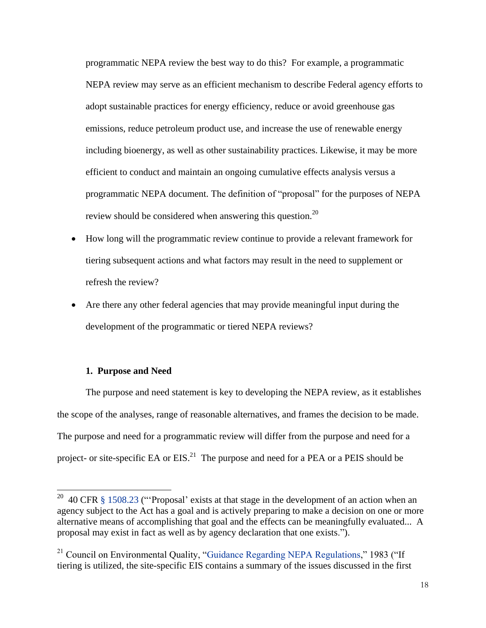programmatic NEPA review the best way to do this? For example, a programmatic NEPA review may serve as an efficient mechanism to describe Federal agency efforts to adopt sustainable practices for energy efficiency, reduce or avoid greenhouse gas emissions, reduce petroleum product use, and increase the use of renewable energy including bioenergy, as well as other sustainability practices. Likewise, it may be more efficient to conduct and maintain an ongoing cumulative effects analysis versus a programmatic NEPA document. The definition of "proposal" for the purposes of NEPA review should be considered when answering this question.<sup>20</sup>

- How long will the programmatic review continue to provide a relevant framework for tiering subsequent actions and what factors may result in the need to supplement or refresh the review?
- Are there any other federal agencies that may provide meaningful input during the development of the programmatic or tiered NEPA reviews?

#### **1. Purpose and Need**

 $\overline{\phantom{a}}$ 

The purpose and need statement is key to developing the NEPA review, as it establishes the scope of the analyses, range of reasonable alternatives, and frames the decision to be made. The purpose and need for a programmatic review will differ from the purpose and need for a project- or site-specific EA or  $EIS$ <sup>21</sup>. The purpose and need for a PEA or a PEIS should be

<sup>&</sup>lt;sup>20</sup> 40 CFR  $\S$  1508.23 ("Proposal' exists at that stage in the development of an action when an agency subject to the Act has a goal and is actively preparing to make a decision on one or more alternative means of accomplishing that goal and the effects can be meaningfully evaluated... A proposal may exist in fact as well as by agency declaration that one exists.").

 $21$  Council on Environmental Quality, "[Guidance Regarding NEPA Regulations,](https://ceq.doe.gov/nepa/regs/1983/1983guid.htm)" 1983 ("If tiering is utilized, the site-specific EIS contains a summary of the issues discussed in the first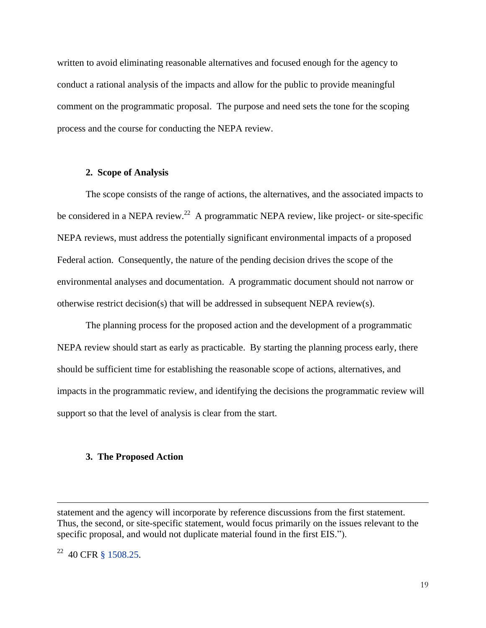written to avoid eliminating reasonable alternatives and focused enough for the agency to conduct a rational analysis of the impacts and allow for the public to provide meaningful comment on the programmatic proposal. The purpose and need sets the tone for the scoping process and the course for conducting the NEPA review.

#### **2. Scope of Analysis**

The scope consists of the range of actions, the alternatives, and the associated impacts to be considered in a NEPA review.<sup>22</sup> A programmatic NEPA review, like project- or site-specific NEPA reviews, must address the potentially significant environmental impacts of a proposed Federal action. Consequently, the nature of the pending decision drives the scope of the environmental analyses and documentation. A programmatic document should not narrow or otherwise restrict decision(s) that will be addressed in subsequent NEPA review(s).

The planning process for the proposed action and the development of a programmatic NEPA review should start as early as practicable. By starting the planning process early, there should be sufficient time for establishing the reasonable scope of actions, alternatives, and impacts in the programmatic review, and identifying the decisions the programmatic review will support so that the level of analysis is clear from the start.

#### **3. The Proposed Action**

statement and the agency will incorporate by reference discussions from the first statement. Thus, the second, or site-specific statement, would focus primarily on the issues relevant to the specific proposal, and would not duplicate material found in the first EIS.").

<sup>22</sup> 40 CFR [§ 1508.25.](http://www.ecfr.gov/cgi-bin/text-idx?SID=99896af55e27339b3879aa579d4dda45&node=se40.33.1508_125&rgn=div8)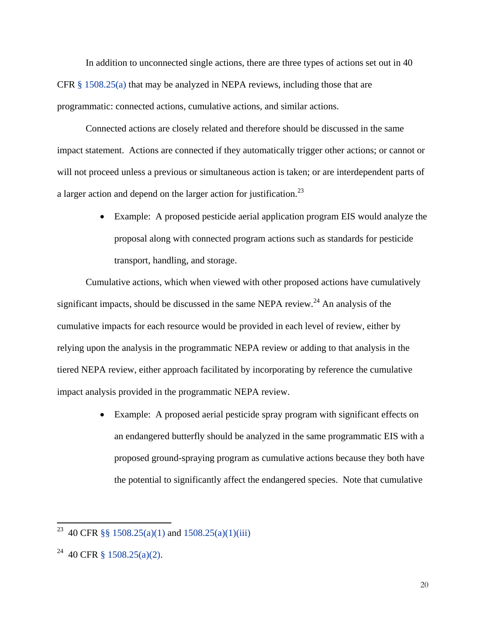In addition to unconnected single actions, there are three types of actions set out in 40 CFR  $\S$  1508.25(a) that may be analyzed in NEPA reviews, including those that are programmatic: connected actions, cumulative actions, and similar actions.

Connected actions are closely related and therefore should be discussed in the same impact statement. Actions are connected if they automatically trigger other actions; or cannot or will not proceed unless a previous or simultaneous action is taken; or are interdependent parts of a larger action and depend on the larger action for justification.<sup>23</sup>

> Example: A proposed pesticide aerial application program EIS would analyze the proposal along with connected program actions such as standards for pesticide transport, handling, and storage.

Cumulative actions, which when viewed with other proposed actions have cumulatively significant impacts, should be discussed in the same NEPA review. $^{24}$  An analysis of the cumulative impacts for each resource would be provided in each level of review, either by relying upon the analysis in the programmatic NEPA review or adding to that analysis in the tiered NEPA review, either approach facilitated by incorporating by reference the cumulative impact analysis provided in the programmatic NEPA review.

> Example: A proposed aerial pesticide spray program with significant effects on an endangered butterfly should be analyzed in the same programmatic EIS with a proposed ground-spraying program as cumulative actions because they both have the potential to significantly affect the endangered species. Note that cumulative

l

<sup>&</sup>lt;sup>23</sup> 40 CFR §§ [1508.25\(a\)\(1\)](http://www.ecfr.gov/cgi-bin/text-idx?SID=1d9a74d0cf9c9f753fb36e80953d3e39&node=se40.33.1508_125&rgn=div8) and [1508.25\(a\)\(1\)\(iii\)](http://www.ecfr.gov/cgi-bin/text-idx?SID=1d9a74d0cf9c9f753fb36e80953d3e39&node=se40.33.1508_125&rgn=div8)

<sup>&</sup>lt;sup>24</sup> 40 CFR [§ 1508.25\(a\)\(2\).](http://www.ecfr.gov/cgi-bin/text-idx?SID=99896af55e27339b3879aa579d4dda45&node=se40.33.1508_125&rgn=div8)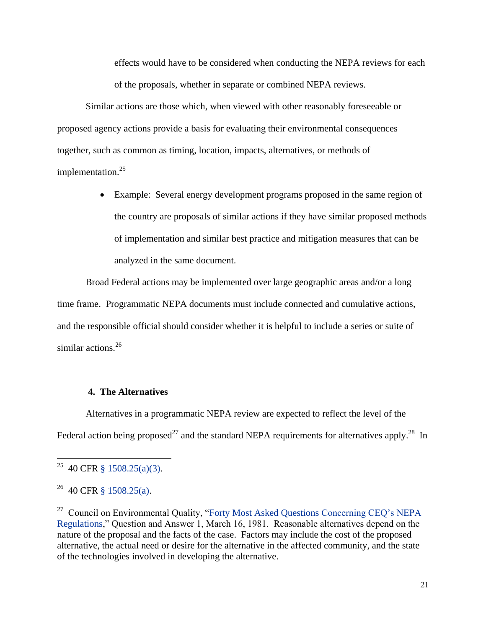effects would have to be considered when conducting the NEPA reviews for each of the proposals, whether in separate or combined NEPA reviews.

Similar actions are those which, when viewed with other reasonably foreseeable or proposed agency actions provide a basis for evaluating their environmental consequences together, such as common as timing, location, impacts, alternatives, or methods of implementation. 25

> Example: Several energy development programs proposed in the same region of the country are proposals of similar actions if they have similar proposed methods of implementation and similar best practice and mitigation measures that can be analyzed in the same document.

Broad Federal actions may be implemented over large geographic areas and/or a long time frame. Programmatic NEPA documents must include connected and cumulative actions, and the responsible official should consider whether it is helpful to include a series or suite of similar actions.<sup>26</sup>

#### **4. The Alternatives**

Alternatives in a programmatic NEPA review are expected to reflect the level of the Federal action being proposed<sup>27</sup> and the standard NEPA requirements for alternatives apply.<sup>28</sup> In

 $\overline{a}$ 

<sup>&</sup>lt;sup>25</sup> 40 CFR [§ 1508.25\(a\)\(3\).](http://www.ecfr.gov/cgi-bin/text-idx?SID=99896af55e27339b3879aa579d4dda45&node=se40.33.1508_125&rgn=div8)

 $26$  40 CFR [§ 1508.25\(a\).](http://www.ecfr.gov/cgi-bin/text-idx?SID=99896af55e27339b3879aa579d4dda45&node=se40.33.1508_125&rgn=div8)

<sup>&</sup>lt;sup>27</sup> Council on Environmental Quality, ["Forty Most Asked Questions](https://ceq.doe.gov/nepa/regs/40/40p3.htm) Concerning CEQ's NEPA [Regulations,](https://ceq.doe.gov/nepa/regs/40/40p3.htm)" Question and Answer 1, March 16, 1981. Reasonable alternatives depend on the nature of the proposal and the facts of the case. Factors may include the cost of the proposed alternative, the actual need or desire for the alternative in the affected community, and the state of the technologies involved in developing the alternative.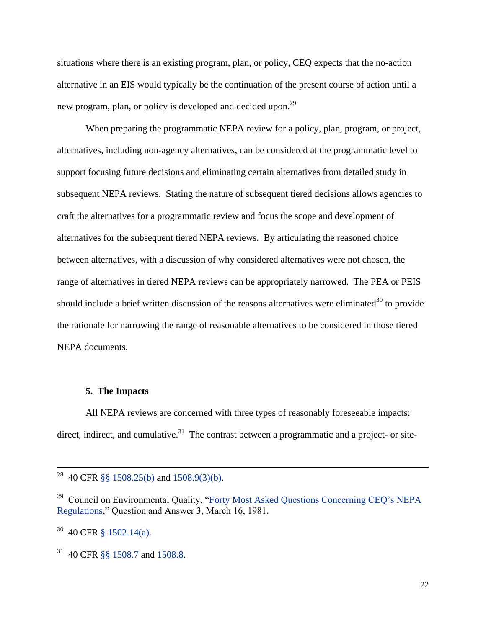situations where there is an existing program, plan, or policy, CEQ expects that the no-action alternative in an EIS would typically be the continuation of the present course of action until a new program, plan, or policy is developed and decided upon.<sup>29</sup>

When preparing the programmatic NEPA review for a policy, plan, program, or project, alternatives, including non-agency alternatives, can be considered at the programmatic level to support focusing future decisions and eliminating certain alternatives from detailed study in subsequent NEPA reviews. Stating the nature of subsequent tiered decisions allows agencies to craft the alternatives for a programmatic review and focus the scope and development of alternatives for the subsequent tiered NEPA reviews. By articulating the reasoned choice between alternatives, with a discussion of why considered alternatives were not chosen, the range of alternatives in tiered NEPA reviews can be appropriately narrowed. The PEA or PEIS should include a brief written discussion of the reasons alternatives were eliminated<sup>30</sup> to provide the rationale for narrowing the range of reasonable alternatives to be considered in those tiered NEPA documents.

#### **5. The Impacts**

All NEPA reviews are concerned with three types of reasonably foreseeable impacts: direct, indirect, and cumulative.<sup>31</sup> The contrast between a programmatic and a project- or site-

<sup>&</sup>lt;sup>28</sup> 40 CFR §§ [1508.25\(b\)](http://www.ecfr.gov/cgi-bin/text-idx?SID=99896af55e27339b3879aa579d4dda45&node=se40.33.1508_125&rgn=div8) and [1508.9\(3\)\(b\).](http://www.ecfr.gov/cgi-bin/text-idx?SID=99896af55e27339b3879aa579d4dda45&node=se40.33.1508_19&rgn=div8)

<sup>&</sup>lt;sup>29</sup> Council on Environmental Quality, "Forty Most Asked Questions Concerning CEQ's NEPA [Regulations,](https://ceq.doe.gov/nepa/regs/40/40p3.htm)" Question and Answer 3, March 16, 1981.

 $30\,$  40 CFR [§ 1502.14\(a\).](http://www.ecfr.gov/cgi-bin/text-idx?SID=99896af55e27339b3879aa579d4dda45&node=se40.33.1502_114&rgn=div8)

<sup>31</sup> 40 CFR [§§ 1508.7](http://www.ecfr.gov/cgi-bin/text-idx?SID=99896af55e27339b3879aa579d4dda45&node=se40.33.1508_17&rgn=div8) and [1508.8.](http://www.ecfr.gov/cgi-bin/text-idx?SID=99896af55e27339b3879aa579d4dda45&node=se40.33.1508_18&rgn=div8)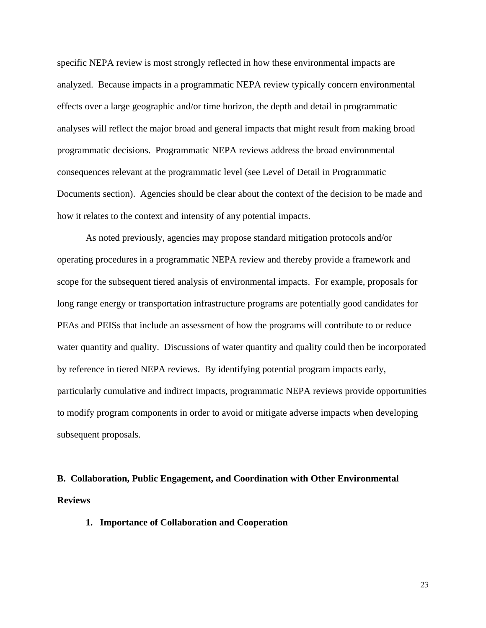specific NEPA review is most strongly reflected in how these environmental impacts are analyzed. Because impacts in a programmatic NEPA review typically concern environmental effects over a large geographic and/or time horizon, the depth and detail in programmatic analyses will reflect the major broad and general impacts that might result from making broad programmatic decisions. Programmatic NEPA reviews address the broad environmental consequences relevant at the programmatic level (see Level of Detail in Programmatic Documents section). Agencies should be clear about the context of the decision to be made and how it relates to the context and intensity of any potential impacts.

As noted previously, agencies may propose standard mitigation protocols and/or operating procedures in a programmatic NEPA review and thereby provide a framework and scope for the subsequent tiered analysis of environmental impacts. For example, proposals for long range energy or transportation infrastructure programs are potentially good candidates for PEAs and PEISs that include an assessment of how the programs will contribute to or reduce water quantity and quality. Discussions of water quantity and quality could then be incorporated by reference in tiered NEPA reviews. By identifying potential program impacts early, particularly cumulative and indirect impacts, programmatic NEPA reviews provide opportunities to modify program components in order to avoid or mitigate adverse impacts when developing subsequent proposals.

# **B. Collaboration, Public Engagement, and Coordination with Other Environmental Reviews**

**1. Importance of Collaboration and Cooperation**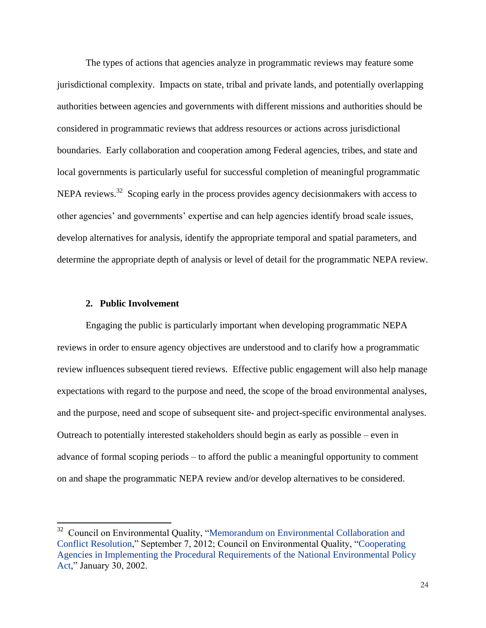The types of actions that agencies analyze in programmatic reviews may feature some jurisdictional complexity. Impacts on state, tribal and private lands, and potentially overlapping authorities between agencies and governments with different missions and authorities should be considered in programmatic reviews that address resources or actions across jurisdictional boundaries. Early collaboration and cooperation among Federal agencies, tribes, and state and local governments is particularly useful for successful completion of meaningful programmatic NEPA reviews.<sup>32</sup> Scoping early in the process provides agency decisionmakers with access to other agencies' and governments' expertise and can help agencies identify broad scale issues, develop alternatives for analysis, identify the appropriate temporal and spatial parameters, and determine the appropriate depth of analysis or level of detail for the programmatic NEPA review.

#### **2. Public Involvement**

l

Engaging the public is particularly important when developing programmatic NEPA reviews in order to ensure agency objectives are understood and to clarify how a programmatic review influences subsequent tiered reviews. Effective public engagement will also help manage expectations with regard to the purpose and need, the scope of the broad environmental analyses, and the purpose, need and scope of subsequent site- and project-specific environmental analyses. Outreach to potentially interested stakeholders should begin as early as possible – even in advance of formal scoping periods – to afford the public a meaningful opportunity to comment on and shape the programmatic NEPA review and/or develop alternatives to be considered.

<sup>&</sup>lt;sup>32</sup> Council on Environmental Quality, "Memorandum on Environmental Collaboration and [Conflict Resolution,](https://ceq.doe.gov/ceq_regulations/OMB_CEQ_Env_Collab_Conflict_Resolution_20120907.pdf)" September 7, 2012; Council on Environmental Quality, ["Cooperating](https://ceq.doe.gov/nepa/regs/cooperating/cooperatingagenciesmemorandum.html)  [Agencies in Implementing the Procedural Requirements of the National Environmental Policy](https://ceq.doe.gov/nepa/regs/cooperating/cooperatingagenciesmemorandum.html)  [Act,](https://ceq.doe.gov/nepa/regs/cooperating/cooperatingagenciesmemorandum.html)" January 30, 2002.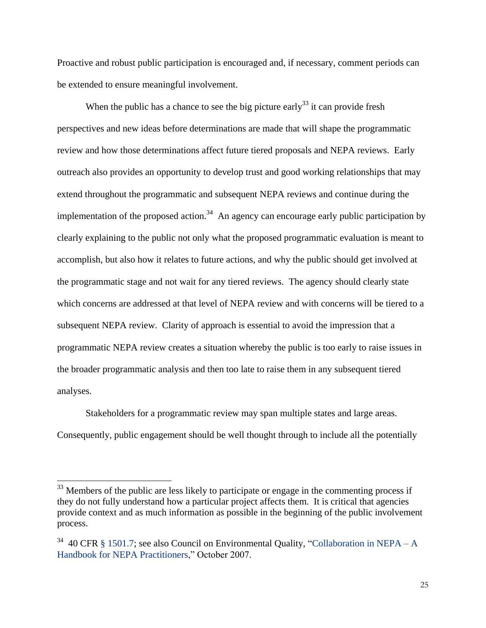Proactive and robust public participation is encouraged and, if necessary, comment periods can be extended to ensure meaningful involvement.

When the public has a chance to see the big picture early<sup>33</sup> it can provide fresh perspectives and new ideas before determinations are made that will shape the programmatic review and how those determinations affect future tiered proposals and NEPA reviews. Early outreach also provides an opportunity to develop trust and good working relationships that may extend throughout the programmatic and subsequent NEPA reviews and continue during the implementation of the proposed action.<sup>34</sup> An agency can encourage early public participation by clearly explaining to the public not only what the proposed programmatic evaluation is meant to accomplish, but also how it relates to future actions, and why the public should get involved at the programmatic stage and not wait for any tiered reviews. The agency should clearly state which concerns are addressed at that level of NEPA review and with concerns will be tiered to a subsequent NEPA review. Clarity of approach is essential to avoid the impression that a programmatic NEPA review creates a situation whereby the public is too early to raise issues in the broader programmatic analysis and then too late to raise them in any subsequent tiered analyses.

Stakeholders for a programmatic review may span multiple states and large areas. Consequently, public engagement should be well thought through to include all the potentially

 $33$  Members of the public are less likely to participate or engage in the commenting process if they do not fully understand how a particular project affects them. It is critical that agencies provide context and as much information as possible in the beginning of the public involvement process.

<sup>&</sup>lt;sup>34</sup> 40 CFR [§ 1501.7;](http://www.ecfr.gov/cgi-bin/text-idx?SID=99896af55e27339b3879aa579d4dda45&node=se40.33.1501_17&rgn=div8) see also Council on Environmental Quality, ["Collaboration in NEPA –](https://ceq.doe.gov/nepa/nepapubs/Collaboration_in_NEPA_Oct2007.pdf) A [Handbook for NEPA Practitioners,](https://ceq.doe.gov/nepa/nepapubs/Collaboration_in_NEPA_Oct2007.pdf)" October 2007.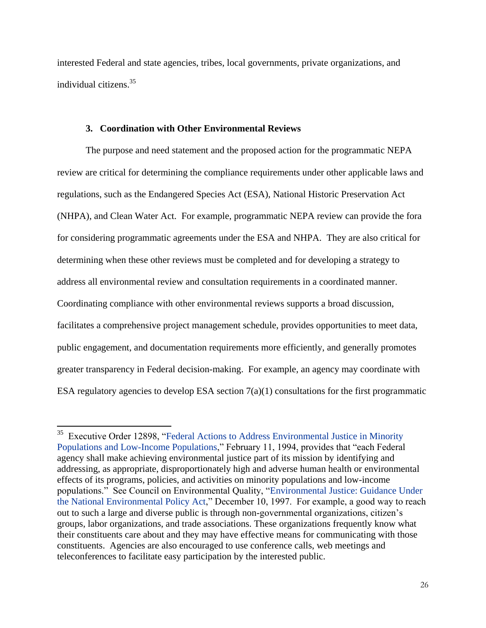interested Federal and state agencies, tribes, local governments, private organizations, and individual citizens.<sup>35</sup>

#### **3. Coordination with Other Environmental Reviews**

The purpose and need statement and the proposed action for the programmatic NEPA review are critical for determining the compliance requirements under other applicable laws and regulations, such as the Endangered Species Act (ESA), National Historic Preservation Act (NHPA), and Clean Water Act. For example, programmatic NEPA review can provide the fora for considering programmatic agreements under the ESA and NHPA. They are also critical for determining when these other reviews must be completed and for developing a strategy to address all environmental review and consultation requirements in a coordinated manner. Coordinating compliance with other environmental reviews supports a broad discussion, facilitates a comprehensive project management schedule, provides opportunities to meet data, public engagement, and documentation requirements more efficiently, and generally promotes greater transparency in Federal decision-making. For example, an agency may coordinate with ESA regulatory agencies to develop ESA section  $7(a)(1)$  consultations for the first programmatic

<sup>&</sup>lt;sup>35</sup> Executive Order 12898, "Federal Actions to Address Environmental Justice in Minority [Populations and Low-Income Populations,](https://ceq.doe.gov/nepa/regs/eos/ii-5.pdf)" February 11, 1994, provides that "each Federal agency shall make achieving environmental justice part of its mission by identifying and addressing, as appropriate, disproportionately high and adverse human health or environmental effects of its programs, policies, and activities on minority populations and low-income populations." See Council on Environmental Quality, ["Environmental Justice: Guidance Under](https://ceq.doe.gov/nepa/regs/ej/justice.pdf) [the National Environmental Policy Act,](https://ceq.doe.gov/nepa/regs/ej/justice.pdf)" December 10, 1997. For example, a good way to reach out to such a large and diverse public is through non-governmental organizations, citizen's groups, labor organizations, and trade associations. These organizations frequently know what their constituents care about and they may have effective means for communicating with those constituents. Agencies are also encouraged to use conference calls, web meetings and teleconferences to facilitate easy participation by the interested public.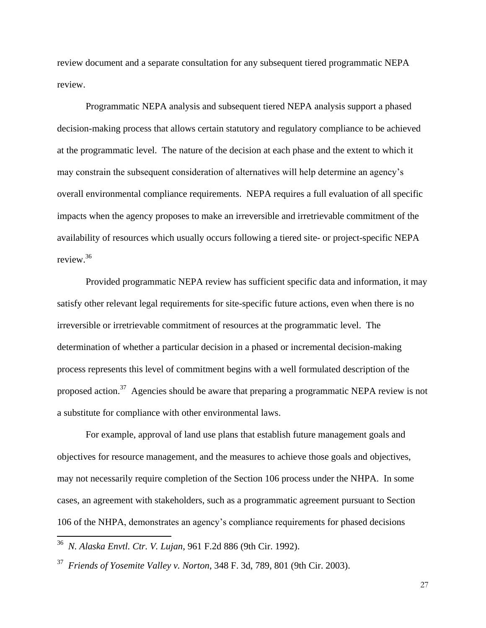review document and a separate consultation for any subsequent tiered programmatic NEPA review.

Programmatic NEPA analysis and subsequent tiered NEPA analysis support a phased decision-making process that allows certain statutory and regulatory compliance to be achieved at the programmatic level. The nature of the decision at each phase and the extent to which it may constrain the subsequent consideration of alternatives will help determine an agency's overall environmental compliance requirements. NEPA requires a full evaluation of all specific impacts when the agency proposes to make an irreversible and irretrievable commitment of the availability of resources which usually occurs following a tiered site- or project-specific NEPA review. 36

Provided programmatic NEPA review has sufficient specific data and information, it may satisfy other relevant legal requirements for site-specific future actions, even when there is no irreversible or irretrievable commitment of resources at the programmatic level. The determination of whether a particular decision in a phased or incremental decision-making process represents this level of commitment begins with a well formulated description of the proposed action.<sup>37</sup> Agencies should be aware that preparing a programmatic NEPA review is not a substitute for compliance with other environmental laws.

For example, approval of land use plans that establish future management goals and objectives for resource management, and the measures to achieve those goals and objectives, may not necessarily require completion of the Section 106 process under the NHPA. In some cases, an agreement with stakeholders, such as a programmatic agreement pursuant to Section 106 of the NHPA, demonstrates an agency's compliance requirements for phased decisions

<sup>36</sup> *N. Alaska Envtl. Ctr. V. Lujan*, 961 F.2d 886 (9th Cir. 1992).

 $\overline{a}$ 

<sup>37</sup> *Friends of Yosemite Valley v. Norton*, 348 F. 3d, 789, 801 (9th Cir. 2003).

27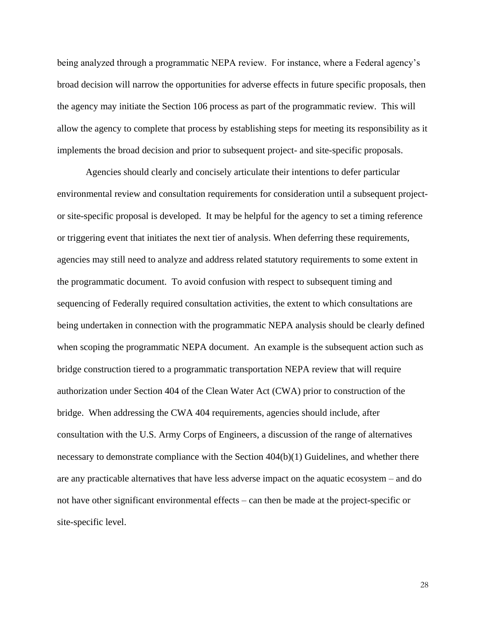being analyzed through a programmatic NEPA review. For instance, where a Federal agency's broad decision will narrow the opportunities for adverse effects in future specific proposals, then the agency may initiate the Section 106 process as part of the programmatic review. This will allow the agency to complete that process by establishing steps for meeting its responsibility as it implements the broad decision and prior to subsequent project- and site-specific proposals.

Agencies should clearly and concisely articulate their intentions to defer particular environmental review and consultation requirements for consideration until a subsequent projector site-specific proposal is developed. It may be helpful for the agency to set a timing reference or triggering event that initiates the next tier of analysis. When deferring these requirements, agencies may still need to analyze and address related statutory requirements to some extent in the programmatic document. To avoid confusion with respect to subsequent timing and sequencing of Federally required consultation activities, the extent to which consultations are being undertaken in connection with the programmatic NEPA analysis should be clearly defined when scoping the programmatic NEPA document. An example is the subsequent action such as bridge construction tiered to a programmatic transportation NEPA review that will require authorization under Section 404 of the Clean Water Act (CWA) prior to construction of the bridge. When addressing the CWA 404 requirements, agencies should include, after consultation with the U.S. Army Corps of Engineers, a discussion of the range of alternatives necessary to demonstrate compliance with the Section 404(b)(1) Guidelines, and whether there are any practicable alternatives that have less adverse impact on the aquatic ecosystem – and do not have other significant environmental effects – can then be made at the project-specific or site-specific level.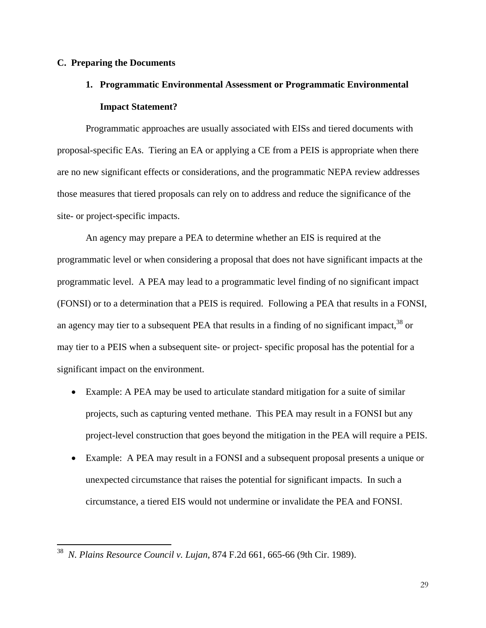#### **C. Preparing the Documents**

# **1. Programmatic Environmental Assessment or Programmatic Environmental Impact Statement?**

Programmatic approaches are usually associated with EISs and tiered documents with proposal-specific EAs. Tiering an EA or applying a CE from a PEIS is appropriate when there are no new significant effects or considerations, and the programmatic NEPA review addresses those measures that tiered proposals can rely on to address and reduce the significance of the site- or project-specific impacts.

An agency may prepare a PEA to determine whether an EIS is required at the programmatic level or when considering a proposal that does not have significant impacts at the programmatic level. A PEA may lead to a programmatic level finding of no significant impact (FONSI) or to a determination that a PEIS is required. Following a PEA that results in a FONSI, an agency may tier to a subsequent PEA that results in a finding of no significant impact,  $38$  or may tier to a PEIS when a subsequent site- or project- specific proposal has the potential for a significant impact on the environment.

- Example: A PEA may be used to articulate standard mitigation for a suite of similar projects, such as capturing vented methane. This PEA may result in a FONSI but any project-level construction that goes beyond the mitigation in the PEA will require a PEIS.
- Example: A PEA may result in a FONSI and a subsequent proposal presents a unique or unexpected circumstance that raises the potential for significant impacts. In such a circumstance, a tiered EIS would not undermine or invalidate the PEA and FONSI.

<sup>38</sup> *N. Plains Resource Council v. Lujan*, 874 F.2d 661, 665-66 (9th Cir. 1989).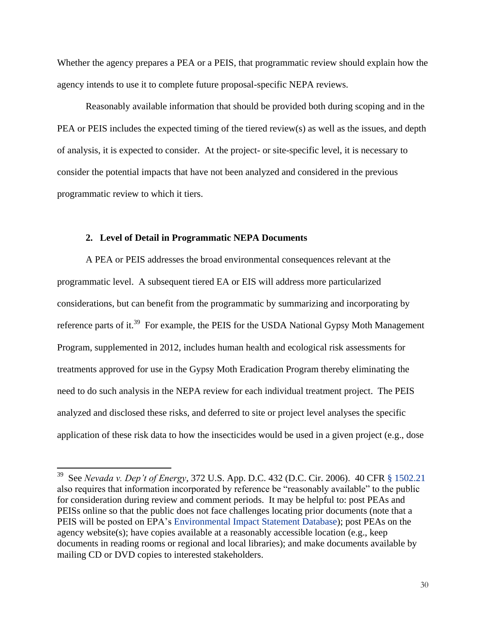Whether the agency prepares a PEA or a PEIS, that programmatic review should explain how the agency intends to use it to complete future proposal-specific NEPA reviews.

Reasonably available information that should be provided both during scoping and in the PEA or PEIS includes the expected timing of the tiered review(s) as well as the issues, and depth of analysis, it is expected to consider. At the project- or site-specific level, it is necessary to consider the potential impacts that have not been analyzed and considered in the previous programmatic review to which it tiers.

#### **2. Level of Detail in Programmatic NEPA Documents**

A PEA or PEIS addresses the broad environmental consequences relevant at the programmatic level. A subsequent tiered EA or EIS will address more particularized considerations, but can benefit from the programmatic by summarizing and incorporating by reference parts of it.<sup>39</sup> For example, the PEIS for the USDA National Gypsy Moth Management Program, supplemented in 2012, includes human health and ecological risk assessments for treatments approved for use in the Gypsy Moth Eradication Program thereby eliminating the need to do such analysis in the NEPA review for each individual treatment project. The PEIS analyzed and disclosed these risks, and deferred to site or project level analyses the specific application of these risk data to how the insecticides would be used in a given project (e.g., dose

 39 See *Nevada v. Dep't of Energy*, 372 U.S. App. D.C. 432 (D.C. Cir. 2006). 40 CFR [§ 1502.21](http://www.ecfr.gov/cgi-bin/text-idx?SID=7f8bc06722b2c79deabc731a7ba42544&node=se40.33.1502_121&rgn=div8) also requires that information incorporated by reference be "reasonably available" to the public for consideration during review and comment periods. It may be helpful to: post PEAs and PEISs online so that the public does not face challenges locating prior documents (note that a PEIS will be posted on EPA's [Environmental Impact Statement Database\)](http://www.epa.gov/compliance/nepa/eisdata.html); post PEAs on the agency website(s); have copies available at a reasonably accessible location (e.g., keep documents in reading rooms or regional and local libraries); and make documents available by mailing CD or DVD copies to interested stakeholders.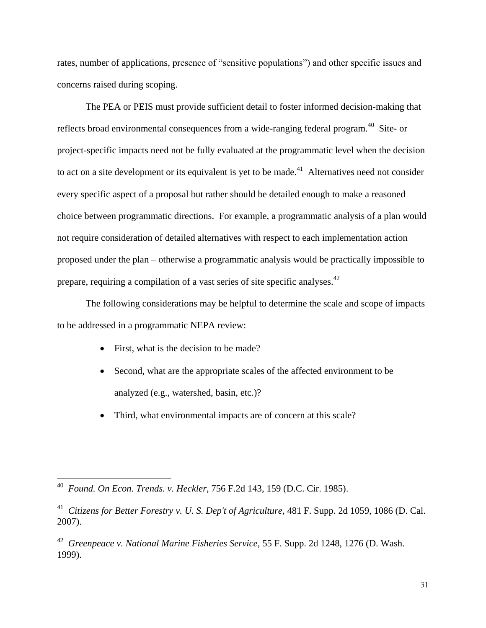rates, number of applications, presence of "sensitive populations") and other specific issues and concerns raised during scoping.

The PEA or PEIS must provide sufficient detail to foster informed decision-making that reflects broad environmental consequences from a wide-ranging federal program.<sup>40</sup> Site- or project-specific impacts need not be fully evaluated at the programmatic level when the decision to act on a site development or its equivalent is yet to be made.<sup>41</sup> Alternatives need not consider every specific aspect of a proposal but rather should be detailed enough to make a reasoned choice between programmatic directions. For example, a programmatic analysis of a plan would not require consideration of detailed alternatives with respect to each implementation action proposed under the plan – otherwise a programmatic analysis would be practically impossible to prepare, requiring a compilation of a vast series of site specific analyses.<sup>42</sup>

The following considerations may be helpful to determine the scale and scope of impacts to be addressed in a programmatic NEPA review:

- First, what is the decision to be made?
- Second, what are the appropriate scales of the affected environment to be analyzed (e.g., watershed, basin, etc.)?
- Third, what environmental impacts are of concern at this scale?

 $\overline{\phantom{a}}$ 

<sup>42</sup> *Greenpeace v. National Marine Fisheries Service*, 55 F. Supp. 2d 1248, 1276 (D. Wash. 1999).

<sup>40</sup> *Found. On Econ. Trends. v. Heckler*, 756 F.2d 143, 159 (D.C. Cir. 1985).

<sup>41</sup> *Citizens for Better Forestry v. U. S. Dep't of Agriculture*, 481 F. Supp. 2d 1059, 1086 (D. Cal. 2007).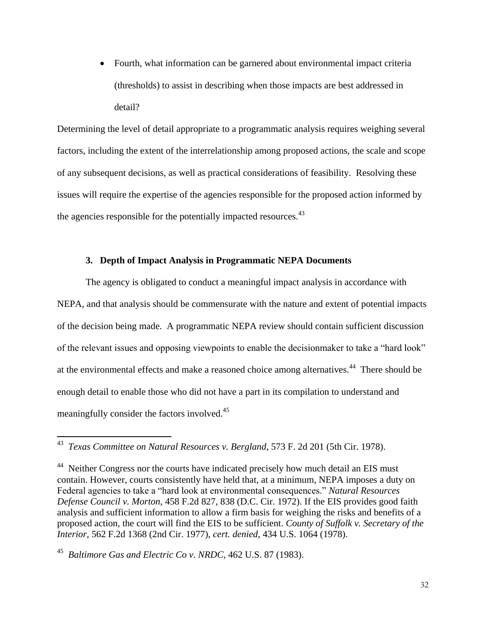Fourth, what information can be garnered about environmental impact criteria (thresholds) to assist in describing when those impacts are best addressed in detail?

Determining the level of detail appropriate to a programmatic analysis requires weighing several factors, including the extent of the interrelationship among proposed actions, the scale and scope of any subsequent decisions, as well as practical considerations of feasibility. Resolving these issues will require the expertise of the agencies responsible for the proposed action informed by the agencies responsible for the potentially impacted resources.  $43$ 

#### **3. Depth of Impact Analysis in Programmatic NEPA Documents**

The agency is obligated to conduct a meaningful impact analysis in accordance with NEPA, and that analysis should be commensurate with the nature and extent of potential impacts of the decision being made. A programmatic NEPA review should contain sufficient discussion of the relevant issues and opposing viewpoints to enable the decisionmaker to take a "hard look" at the environmental effects and make a reasoned choice among alternatives.<sup>44</sup> There should be enough detail to enable those who did not have a part in its compilation to understand and meaningfully consider the factors involved.<sup>45</sup>

 43 *Texas Committee on Natural Resources v. Bergland*, 573 F. 2d 201 (5th Cir. 1978).

<sup>&</sup>lt;sup>44</sup> Neither Congress nor the courts have indicated precisely how much detail an EIS must contain. However, courts consistently have held that, at a minimum, NEPA imposes a duty on Federal agencies to take a "hard look at environmental consequences." *Natural Resources Defense Council v. Morton*, 458 F.2d 827, 838 (D.C. Cir. 1972). If the EIS provides good faith analysis and sufficient information to allow a firm basis for weighing the risks and benefits of a proposed action, the court will find the EIS to be sufficient. *County of Suffolk v. Secretary of the Interior*, 562 F.2d 1368 (2nd Cir. 1977), *cert. denied*, 434 U.S. 1064 (1978).

<sup>45</sup> *Baltimore Gas and Electric Co v. NRDC*, 462 U.S. 87 (1983).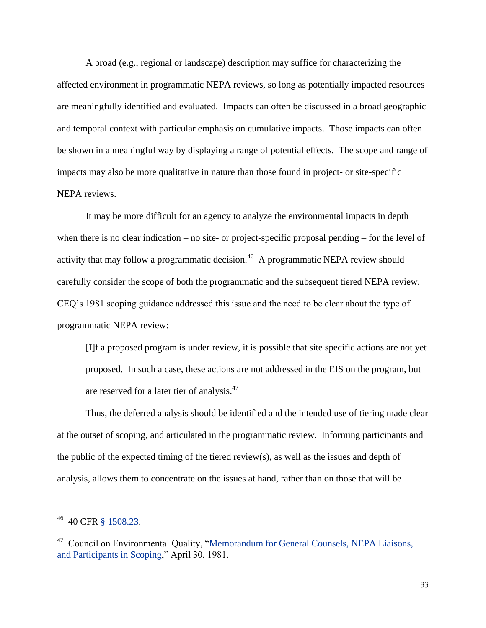A broad (e.g., regional or landscape) description may suffice for characterizing the affected environment in programmatic NEPA reviews, so long as potentially impacted resources are meaningfully identified and evaluated. Impacts can often be discussed in a broad geographic and temporal context with particular emphasis on cumulative impacts. Those impacts can often be shown in a meaningful way by displaying a range of potential effects. The scope and range of impacts may also be more qualitative in nature than those found in project- or site-specific NEPA reviews.

It may be more difficult for an agency to analyze the environmental impacts in depth when there is no clear indication – no site- or project-specific proposal pending – for the level of activity that may follow a programmatic decision.<sup>46</sup> A programmatic NEPA review should carefully consider the scope of both the programmatic and the subsequent tiered NEPA review. CEQ's 1981 scoping guidance addressed this issue and the need to be clear about the type of programmatic NEPA review:

[I]f a proposed program is under review, it is possible that site specific actions are not yet proposed. In such a case, these actions are not addressed in the EIS on the program, but are reserved for a later tier of analysis.<sup>47</sup>

Thus, the deferred analysis should be identified and the intended use of tiering made clear at the outset of scoping, and articulated in the programmatic review. Informing participants and the public of the expected timing of the tiered review(s), as well as the issues and depth of analysis, allows them to concentrate on the issues at hand, rather than on those that will be

<sup>46</sup> 40 CFR [§ 1508.23.](http://www.ecfr.gov/cgi-bin/text-idx?SID=4306f906ba0fd6c48e38bcb62965963a&node=se40.33.1508_123&rgn=div8)

<sup>&</sup>lt;sup>47</sup> Council on Environmental Quality, "Memorandum for General Counsels, NEPA Liaisons, [and Participants in Scoping,](http://ceq.doe.gov/nepa/regs/scope/scoping.htm)" April 30, 1981.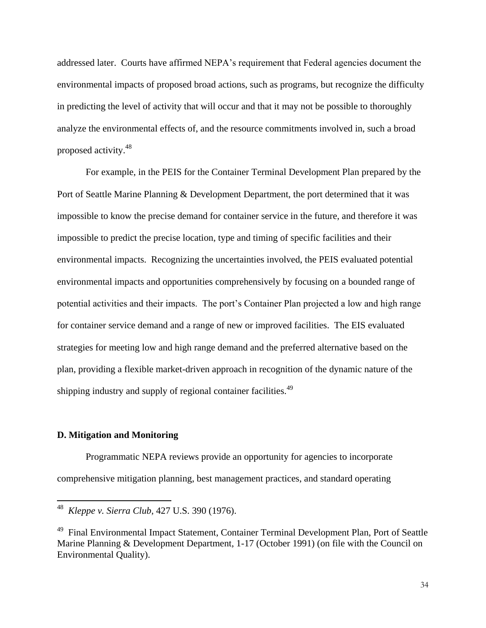addressed later. Courts have affirmed NEPA's requirement that Federal agencies document the environmental impacts of proposed broad actions, such as programs, but recognize the difficulty in predicting the level of activity that will occur and that it may not be possible to thoroughly analyze the environmental effects of, and the resource commitments involved in, such a broad proposed activity.<sup>48</sup>

For example, in the PEIS for the Container Terminal Development Plan prepared by the Port of Seattle Marine Planning & Development Department, the port determined that it was impossible to know the precise demand for container service in the future, and therefore it was impossible to predict the precise location, type and timing of specific facilities and their environmental impacts. Recognizing the uncertainties involved, the PEIS evaluated potential environmental impacts and opportunities comprehensively by focusing on a bounded range of potential activities and their impacts. The port's Container Plan projected a low and high range for container service demand and a range of new or improved facilities. The EIS evaluated strategies for meeting low and high range demand and the preferred alternative based on the plan, providing a flexible market-driven approach in recognition of the dynamic nature of the shipping industry and supply of regional container facilities.<sup>49</sup>

#### **D. Mitigation and Monitoring**

 $\overline{\phantom{a}}$ 

Programmatic NEPA reviews provide an opportunity for agencies to incorporate comprehensive mitigation planning, best management practices, and standard operating

<sup>48</sup> *Kleppe v. Sierra Club*, 427 U.S. 390 (1976).

<sup>&</sup>lt;sup>49</sup> Final Environmental Impact Statement, Container Terminal Development Plan, Port of Seattle Marine Planning & Development Department, 1-17 (October 1991) (on file with the Council on Environmental Quality).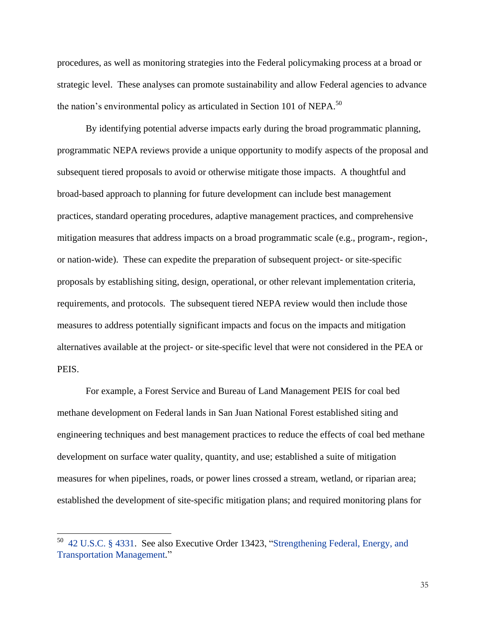procedures, as well as monitoring strategies into the Federal policymaking process at a broad or strategic level. These analyses can promote sustainability and allow Federal agencies to advance the nation's environmental policy as articulated in Section 101 of NEPA.<sup>50</sup>

By identifying potential adverse impacts early during the broad programmatic planning, programmatic NEPA reviews provide a unique opportunity to modify aspects of the proposal and subsequent tiered proposals to avoid or otherwise mitigate those impacts. A thoughtful and broad-based approach to planning for future development can include best management practices, standard operating procedures, adaptive management practices, and comprehensive mitigation measures that address impacts on a broad programmatic scale (e.g., program-, region-, or nation-wide). These can expedite the preparation of subsequent project- or site-specific proposals by establishing siting, design, operational, or other relevant implementation criteria, requirements, and protocols. The subsequent tiered NEPA review would then include those measures to address potentially significant impacts and focus on the impacts and mitigation alternatives available at the project- or site-specific level that were not considered in the PEA or PEIS.

For example, a Forest Service and Bureau of Land Management PEIS for coal bed methane development on Federal lands in San Juan National Forest established siting and engineering techniques and best management practices to reduce the effects of coal bed methane development on surface water quality, quantity, and use; established a suite of mitigation measures for when pipelines, roads, or power lines crossed a stream, wetland, or riparian area; established the development of site-specific mitigation plans; and required monitoring plans for

 $50$  [42 U.S.C. § 4331.](http://www.gpo.gov/fdsys/pkg/USCODE-2011-title42/html/USCODE-2011-title42-chap55-subchapI-sec4331.htm) See also Executive Order 13423, "Strengthening Federal, Energy, and [Transportation Management](https://ceq.doe.gov/nepa/regs/E.O._13423.pdf)*.*"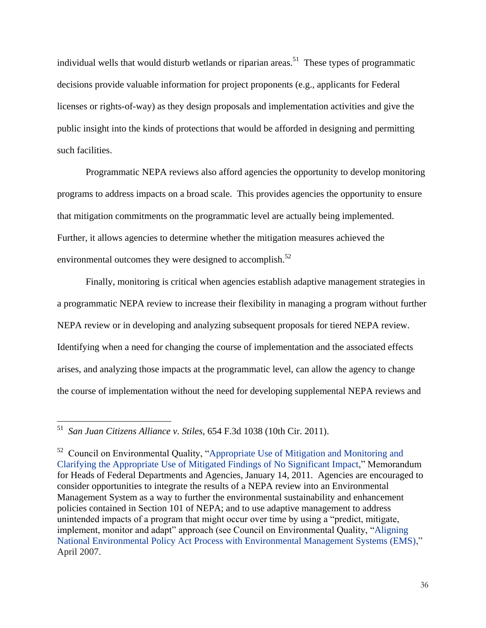individual wells that would disturb wetlands or riparian areas.<sup>51</sup> These types of programmatic decisions provide valuable information for project proponents (e.g., applicants for Federal licenses or rights-of-way) as they design proposals and implementation activities and give the public insight into the kinds of protections that would be afforded in designing and permitting such facilities.

Programmatic NEPA reviews also afford agencies the opportunity to develop monitoring programs to address impacts on a broad scale. This provides agencies the opportunity to ensure that mitigation commitments on the programmatic level are actually being implemented. Further, it allows agencies to determine whether the mitigation measures achieved the environmental outcomes they were designed to accomplish. $52$ 

Finally, monitoring is critical when agencies establish adaptive management strategies in a programmatic NEPA review to increase their flexibility in managing a program without further NEPA review or in developing and analyzing subsequent proposals for tiered NEPA review. Identifying when a need for changing the course of implementation and the associated effects arises, and analyzing those impacts at the programmatic level, can allow the agency to change the course of implementation without the need for developing supplemental NEPA reviews and

l

<sup>51</sup> *San Juan Citizens Alliance v. Stiles,* 654 F.3d 1038 (10th Cir. 2011).

<sup>&</sup>lt;sup>52</sup> Council on Environmental Quality, "Appropriate Use of Mitigation and Monitoring and [Clarifying the Appropriate Use of Mitigated Findings of No Significant Impact,](https://ceq.doe.gov/current_developments/docs/Mitigation_and_Monitoring_Guidance_14Jan2011.pdf)" Memorandum for Heads of Federal Departments and Agencies, January 14, 2011. Agencies are encouraged to consider opportunities to integrate the results of a NEPA review into an Environmental Management System as a way to further the environmental sustainability and enhancement policies contained in Section 101 of NEPA; and to use adaptive management to address unintended impacts of a program that might occur over time by using a "predict, mitigate, implement, monitor and adapt" approach (see Council on Environmental Quality, ["Aligning](https://ceq.doe.gov/publications/nepa_and_ems.html)  [National Environmental Policy Act Process with Environmental Management Systems \(EMS\),](https://ceq.doe.gov/publications/nepa_and_ems.html)" April 2007.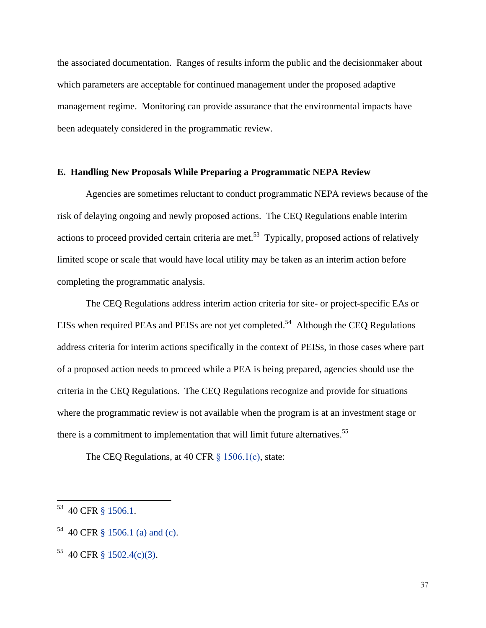the associated documentation. Ranges of results inform the public and the decisionmaker about which parameters are acceptable for continued management under the proposed adaptive management regime. Monitoring can provide assurance that the environmental impacts have been adequately considered in the programmatic review.

#### **E. Handling New Proposals While Preparing a Programmatic NEPA Review**

Agencies are sometimes reluctant to conduct programmatic NEPA reviews because of the risk of delaying ongoing and newly proposed actions. The CEQ Regulations enable interim actions to proceed provided certain criteria are met.<sup>53</sup> Typically, proposed actions of relatively limited scope or scale that would have local utility may be taken as an interim action before completing the programmatic analysis.

The CEQ Regulations address interim action criteria for site- or project-specific EAs or EISs when required PEAs and PEISs are not yet completed.<sup>54</sup> Although the CEQ Regulations address criteria for interim actions specifically in the context of PEISs, in those cases where part of a proposed action needs to proceed while a PEA is being prepared, agencies should use the criteria in the CEQ Regulations. The CEQ Regulations recognize and provide for situations where the programmatic review is not available when the program is at an investment stage or there is a commitment to implementation that will limit future alternatives.<sup>55</sup>

The CEQ Regulations, at 40 CFR  $\S$  1506.1(c), state:

<sup>&</sup>lt;sup>53</sup> 40 CFR [§ 1506.1.](http://www.ecfr.gov/cgi-bin/text-idx?SID=4306f906ba0fd6c48e38bcb62965963a&node=se40.33.1506_11&rgn=div8)

 $54$  40 CFR [§ 1506.1 \(a\) and \(c\).](http://www.ecfr.gov/cgi-bin/text-idx?SID=4306f906ba0fd6c48e38bcb62965963a&node=se40.33.1506_11&rgn=div8)

 $55$  40 CFR [§ 1502.4\(c\)\(3\).](http://www.ecfr.gov/cgi-bin/text-idx?SID=99896af55e27339b3879aa579d4dda45&node=se40.33.1502_14&rgn=div8)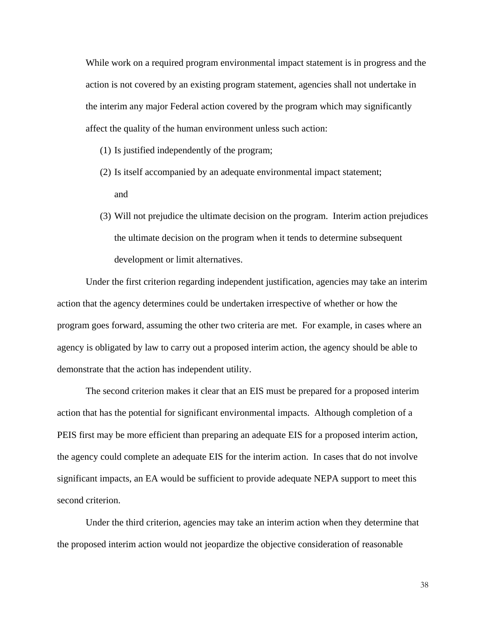While work on a required program environmental impact statement is in progress and the action is not covered by an existing program statement, agencies shall not undertake in the interim any major Federal action covered by the program which may significantly affect the quality of the human environment unless such action:

- (1) Is justified independently of the program;
- (2) Is itself accompanied by an adequate environmental impact statement; and
- (3) Will not prejudice the ultimate decision on the program. Interim action prejudices the ultimate decision on the program when it tends to determine subsequent development or limit alternatives.

Under the first criterion regarding independent justification, agencies may take an interim action that the agency determines could be undertaken irrespective of whether or how the program goes forward, assuming the other two criteria are met. For example, in cases where an agency is obligated by law to carry out a proposed interim action, the agency should be able to demonstrate that the action has independent utility.

The second criterion makes it clear that an EIS must be prepared for a proposed interim action that has the potential for significant environmental impacts. Although completion of a PEIS first may be more efficient than preparing an adequate EIS for a proposed interim action, the agency could complete an adequate EIS for the interim action. In cases that do not involve significant impacts, an EA would be sufficient to provide adequate NEPA support to meet this second criterion.

Under the third criterion, agencies may take an interim action when they determine that the proposed interim action would not jeopardize the objective consideration of reasonable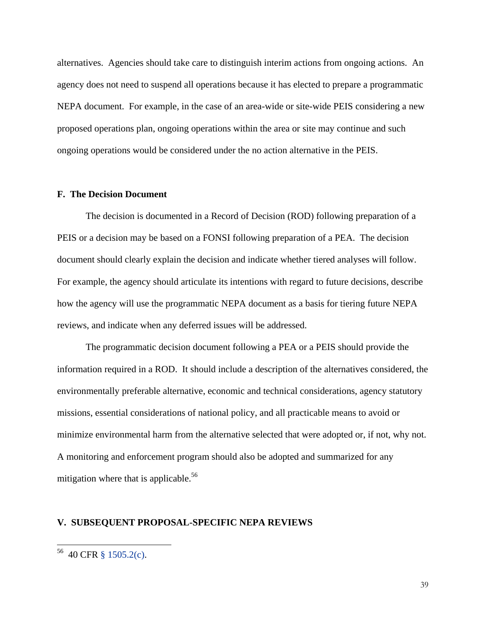alternatives. Agencies should take care to distinguish interim actions from ongoing actions. An agency does not need to suspend all operations because it has elected to prepare a programmatic NEPA document. For example, in the case of an area-wide or site-wide PEIS considering a new proposed operations plan, ongoing operations within the area or site may continue and such ongoing operations would be considered under the no action alternative in the PEIS.

#### **F. The Decision Document**

The decision is documented in a Record of Decision (ROD) following preparation of a PEIS or a decision may be based on a FONSI following preparation of a PEA. The decision document should clearly explain the decision and indicate whether tiered analyses will follow. For example, the agency should articulate its intentions with regard to future decisions, describe how the agency will use the programmatic NEPA document as a basis for tiering future NEPA reviews, and indicate when any deferred issues will be addressed.

The programmatic decision document following a PEA or a PEIS should provide the information required in a ROD. It should include a description of the alternatives considered, the environmentally preferable alternative, economic and technical considerations, agency statutory missions, essential considerations of national policy, and all practicable means to avoid or minimize environmental harm from the alternative selected that were adopted or, if not, why not. A monitoring and enforcement program should also be adopted and summarized for any mitigation where that is applicable.<sup>56</sup>

#### **V. SUBSEQUENT PROPOSAL-SPECIFIC NEPA REVIEWS**

<sup>56</sup> 40 CFR [§ 1505.2\(c\).](http://www.ecfr.gov/cgi-bin/text-idx?SID=cc78b55215620e1c846f392c44c62ed6&node=se40.33.1505_12&rgn=div8)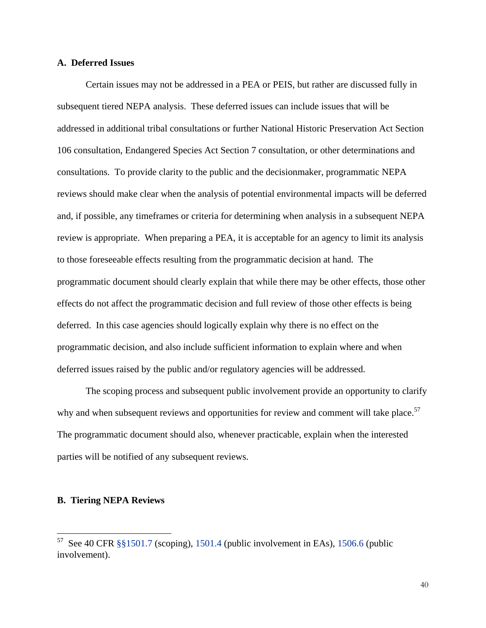#### **A. Deferred Issues**

Certain issues may not be addressed in a PEA or PEIS, but rather are discussed fully in subsequent tiered NEPA analysis. These deferred issues can include issues that will be addressed in additional tribal consultations or further National Historic Preservation Act Section 106 consultation, Endangered Species Act Section 7 consultation, or other determinations and consultations. To provide clarity to the public and the decisionmaker, programmatic NEPA reviews should make clear when the analysis of potential environmental impacts will be deferred and, if possible, any timeframes or criteria for determining when analysis in a subsequent NEPA review is appropriate. When preparing a PEA, it is acceptable for an agency to limit its analysis to those foreseeable effects resulting from the programmatic decision at hand. The programmatic document should clearly explain that while there may be other effects, those other effects do not affect the programmatic decision and full review of those other effects is being deferred. In this case agencies should logically explain why there is no effect on the programmatic decision, and also include sufficient information to explain where and when deferred issues raised by the public and/or regulatory agencies will be addressed.

The scoping process and subsequent public involvement provide an opportunity to clarify why and when subsequent reviews and opportunities for review and comment will take place.<sup>57</sup> The programmatic document should also, whenever practicable, explain when the interested parties will be notified of any subsequent reviews.

#### **B. Tiering NEPA Reviews**

l

<sup>&</sup>lt;sup>57</sup> See 40 CFR [§§1501.7](http://www.ecfr.gov/cgi-bin/text-idx?SID=cc78b55215620e1c846f392c44c62ed6&node=se40.33.1501_17&rgn=div8) (scoping), [1501.4](http://www.ecfr.gov/cgi-bin/text-idx?SID=cc78b55215620e1c846f392c44c62ed6&node=se40.33.1501_14&rgn=div8) (public involvement in EAs), [1506.6](http://www.ecfr.gov/cgi-bin/text-idx?SID=cc78b55215620e1c846f392c44c62ed6&node=se40.33.1506_16&rgn=div8) (public involvement).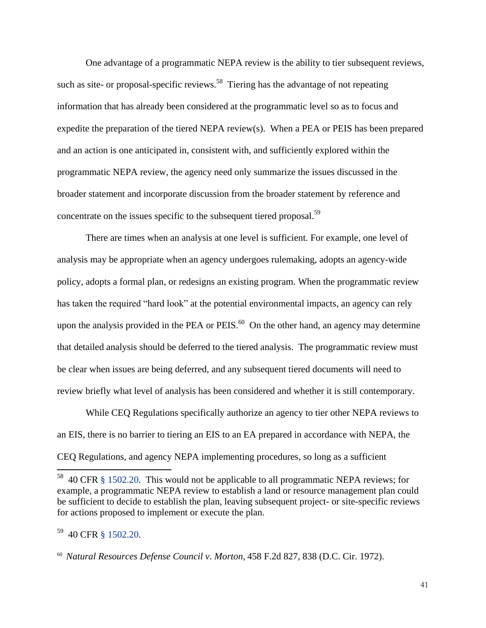One advantage of a programmatic NEPA review is the ability to tier subsequent reviews, such as site- or proposal-specific reviews.<sup>58</sup> Tiering has the advantage of not repeating information that has already been considered at the programmatic level so as to focus and expedite the preparation of the tiered NEPA review(s). When a PEA or PEIS has been prepared and an action is one anticipated in, consistent with, and sufficiently explored within the programmatic NEPA review, the agency need only summarize the issues discussed in the broader statement and incorporate discussion from the broader statement by reference and concentrate on the issues specific to the subsequent tiered proposal.<sup>59</sup>

There are times when an analysis at one level is sufficient. For example, one level of analysis may be appropriate when an agency undergoes rulemaking, adopts an agency-wide policy, adopts a formal plan, or redesigns an existing program. When the programmatic review has taken the required "hard look" at the potential environmental impacts, an agency can rely upon the analysis provided in the PEA or PEIS. $^{60}$  On the other hand, an agency may determine that detailed analysis should be deferred to the tiered analysis. The programmatic review must be clear when issues are being deferred, and any subsequent tiered documents will need to review briefly what level of analysis has been considered and whether it is still contemporary.

While CEQ Regulations specifically authorize an agency to tier other NEPA reviews to an EIS, there is no barrier to tiering an EIS to an EA prepared in accordance with NEPA, the CEQ Regulations, and agency NEPA implementing procedures, so long as a sufficient

 $58$  40 CFR [§ 1502.20.](http://www.ecfr.gov/cgi-bin/text-idx?SID=cc78b55215620e1c846f392c44c62ed6&node=se40.33.1502_120&rgn=div8) This would not be applicable to all programmatic NEPA reviews; for example, a programmatic NEPA review to establish a land or resource management plan could be sufficient to decide to establish the plan, leaving subsequent project- or site-specific reviews for actions proposed to implement or execute the plan.

<sup>59</sup> 40 CFR [§ 1502.20.](http://www.ecfr.gov/cgi-bin/text-idx?SID=cc78b55215620e1c846f392c44c62ed6&node=se40.33.1502_120&rgn=div8)

<sup>60</sup> *Natural Resources Defense Council v. Morton,* 458 F.2d 827, 838 (D.C. Cir. 1972).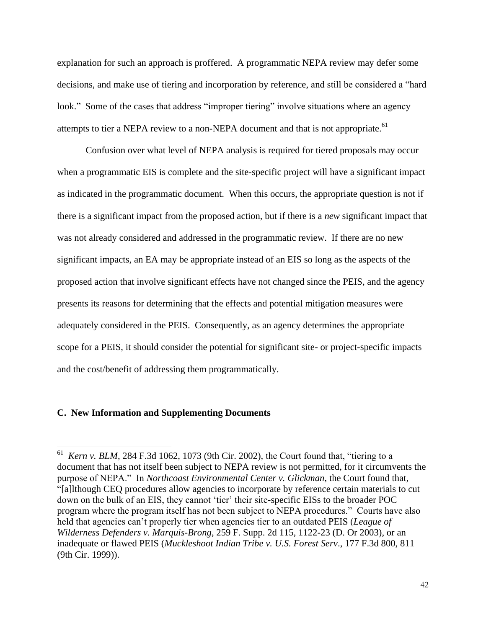explanation for such an approach is proffered. A programmatic NEPA review may defer some decisions, and make use of tiering and incorporation by reference, and still be considered a "hard look." Some of the cases that address "improper tiering" involve situations where an agency attempts to tier a NEPA review to a non-NEPA document and that is not appropriate.<sup>61</sup>

Confusion over what level of NEPA analysis is required for tiered proposals may occur when a programmatic EIS is complete and the site-specific project will have a significant impact as indicated in the programmatic document. When this occurs, the appropriate question is not if there is a significant impact from the proposed action, but if there is a *new* significant impact that was not already considered and addressed in the programmatic review. If there are no new significant impacts, an EA may be appropriate instead of an EIS so long as the aspects of the proposed action that involve significant effects have not changed since the PEIS, and the agency presents its reasons for determining that the effects and potential mitigation measures were adequately considered in the PEIS. Consequently, as an agency determines the appropriate scope for a PEIS, it should consider the potential for significant site- or project-specific impacts and the cost/benefit of addressing them programmatically.

#### **C. New Information and Supplementing Documents**

<sup>61</sup> *Kern v. BLM*, 284 F.3d 1062, 1073 (9th Cir. 2002), the Court found that, "tiering to a document that has not itself been subject to NEPA review is not permitted, for it circumvents the purpose of NEPA." In *Northcoast Environmental Center v. Glickman*, the Court found that, "[a]lthough CEQ procedures allow agencies to incorporate by reference certain materials to cut down on the bulk of an EIS, they cannot 'tier' their site-specific EISs to the broader POC program where the program itself has not been subject to NEPA procedures." Courts have also held that agencies can't properly tier when agencies tier to an outdated PEIS (*League of Wilderness Defenders v. Marquis-Brong*, 259 F. Supp. 2d 115, 1122-23 (D. Or 2003), or an inadequate or flawed PEIS (*Muckleshoot Indian Tribe v. U.S. Forest Serv*., 177 F.3d 800, 811 (9th Cir. 1999)).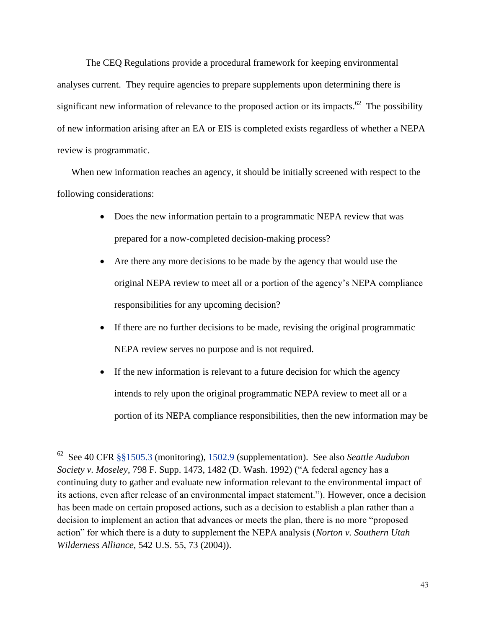The CEQ Regulations provide a procedural framework for keeping environmental analyses current. They require agencies to prepare supplements upon determining there is significant new information of relevance to the proposed action or its impacts.<sup>62</sup> The possibility of new information arising after an EA or EIS is completed exists regardless of whether a NEPA review is programmatic.

When new information reaches an agency, it should be initially screened with respect to the following considerations:

- Does the new information pertain to a programmatic NEPA review that was prepared for a now-completed decision-making process?
- Are there any more decisions to be made by the agency that would use the original NEPA review to meet all or a portion of the agency's NEPA compliance responsibilities for any upcoming decision?
- If there are no further decisions to be made, revising the original programmatic NEPA review serves no purpose and is not required.
- If the new information is relevant to a future decision for which the agency intends to rely upon the original programmatic NEPA review to meet all or a portion of its NEPA compliance responsibilities, then the new information may be

 $\overline{a}$ 

<sup>62</sup> See 40 CFR [§§1505.3](http://www.ecfr.gov/cgi-bin/text-idx?SID=cc78b55215620e1c846f392c44c62ed6&node=se40.33.1505_13&rgn=div8) (monitoring), [1502.9](http://www.ecfr.gov/cgi-bin/text-idx?SID=cc78b55215620e1c846f392c44c62ed6&node=se40.33.1502_19&rgn=div8) (supplementation). See also *Seattle Audubon Society v. Moseley*, 798 F. Supp. 1473, 1482 (D. Wash. 1992) ("A federal agency has a continuing duty to gather and evaluate new information relevant to the environmental impact of its actions, even after release of an environmental impact statement."). However, once a decision has been made on certain proposed actions, such as a decision to establish a plan rather than a decision to implement an action that advances or meets the plan, there is no more "proposed action" for which there is a duty to supplement the NEPA analysis (*Norton v. Southern Utah Wilderness Alliance*, 542 U.S. 55, 73 (2004)).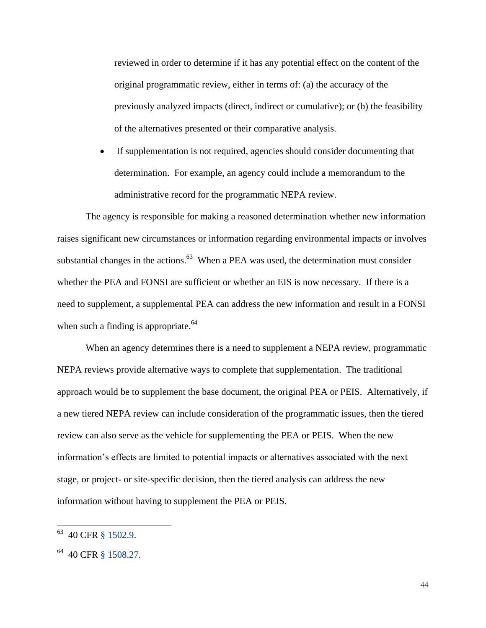reviewed in order to determine if it has any potential effect on the content of the original programmatic review, either in terms of: (a) the accuracy of the previously analyzed impacts (direct, indirect or cumulative); or (b) the feasibility of the alternatives presented or their comparative analysis.

 If supplementation is not required, agencies should consider documenting that determination. For example, an agency could include a memorandum to the administrative record for the programmatic NEPA review.

The agency is responsible for making a reasoned determination whether new information raises significant new circumstances or information regarding environmental impacts or involves substantial changes in the actions. $^{63}$  When a PEA was used, the determination must consider whether the PEA and FONSI are sufficient or whether an EIS is now necessary. If there is a need to supplement, a supplemental PEA can address the new information and result in a FONSI when such a finding is appropriate.<sup>64</sup>

When an agency determines there is a need to supplement a NEPA review, programmatic NEPA reviews provide alternative ways to complete that supplementation. The traditional approach would be to supplement the base document, the original PEA or PEIS. Alternatively, if a new tiered NEPA review can include consideration of the programmatic issues, then the tiered review can also serve as the vehicle for supplementing the PEA or PEIS. When the new information's effects are limited to potential impacts or alternatives associated with the next stage, or project- or site-specific decision, then the tiered analysis can address the new information without having to supplement the PEA or PEIS.

<sup>63</sup> 40 CFR [§ 1502.9.](http://www.ecfr.gov/cgi-bin/text-idx?SID=cc78b55215620e1c846f392c44c62ed6&node=se40.33.1502_19&rgn=div8)

<sup>&</sup>lt;sup>64</sup> 40 CFR [§ 1508.27.](http://www.ecfr.gov/cgi-bin/text-idx?SID=cc78b55215620e1c846f392c44c62ed6&node=se40.33.1508_127&rgn=div8)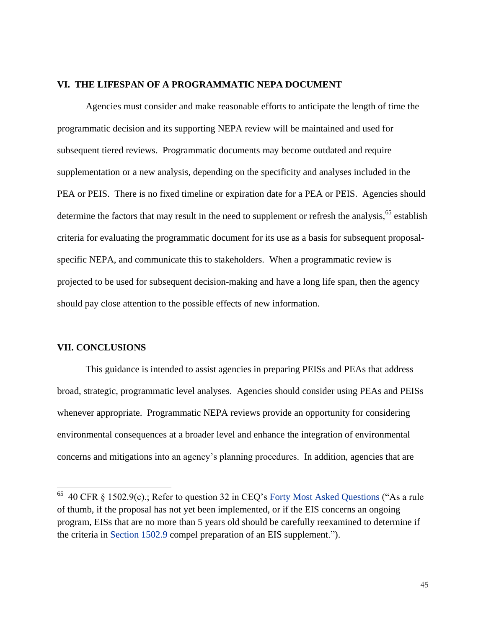### **VI. THE LIFESPAN OF A PROGRAMMATIC NEPA DOCUMENT**

Agencies must consider and make reasonable efforts to anticipate the length of time the programmatic decision and its supporting NEPA review will be maintained and used for subsequent tiered reviews. Programmatic documents may become outdated and require supplementation or a new analysis, depending on the specificity and analyses included in the PEA or PEIS. There is no fixed timeline or expiration date for a PEA or PEIS. Agencies should determine the factors that may result in the need to supplement or refresh the analysis,  $65$  establish criteria for evaluating the programmatic document for its use as a basis for subsequent proposalspecific NEPA, and communicate this to stakeholders. When a programmatic review is projected to be used for subsequent decision-making and have a long life span, then the agency should pay close attention to the possible effects of new information.

#### **VII. CONCLUSIONS**

 $\overline{\phantom{a}}$ 

This guidance is intended to assist agencies in preparing PEISs and PEAs that address broad, strategic, programmatic level analyses. Agencies should consider using PEAs and PEISs whenever appropriate. Programmatic NEPA reviews provide an opportunity for considering environmental consequences at a broader level and enhance the integration of environmental concerns and mitigations into an agency's planning procedures. In addition, agencies that are

 $65$  40 CFR § 1502.9(c).; Refer to question 32 in CEQ's [Forty Most Asked Questions](https://ceq.doe.gov/nepa/regs/40/40p3.htm) ("As a rule of thumb, if the proposal has not yet been implemented, or if the EIS concerns an ongoing program, EISs that are no more than 5 years old should be carefully reexamined to determine if the criteria in [Section 1502.9](http://www.ecfr.gov/cgi-bin/text-idx?SID=cc78b55215620e1c846f392c44c62ed6&node=se40.33.1502_19&rgn=div8) compel preparation of an EIS supplement.").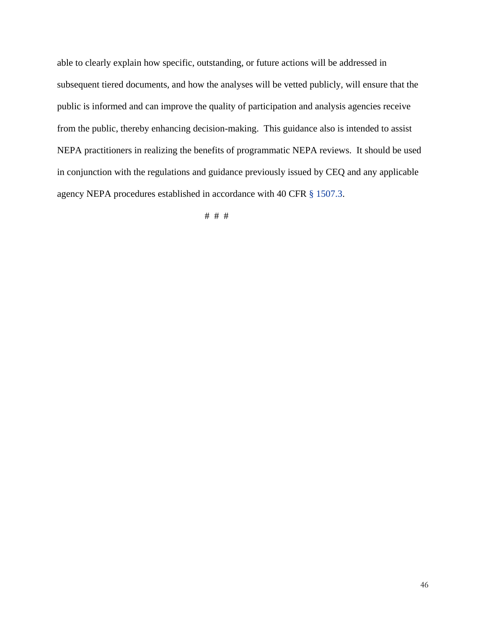able to clearly explain how specific, outstanding, or future actions will be addressed in subsequent tiered documents, and how the analyses will be vetted publicly, will ensure that the public is informed and can improve the quality of participation and analysis agencies receive from the public, thereby enhancing decision-making. This guidance also is intended to assist NEPA practitioners in realizing the benefits of programmatic NEPA reviews. It should be used in conjunction with the regulations and guidance previously issued by CEQ and any applicable agency NEPA procedures established in accordance with 40 CFR [§ 1507.3.](http://www.ecfr.gov/cgi-bin/text-idx?SID=cc78b55215620e1c846f392c44c62ed6&node=se40.33.1507_13&rgn=div8)

# # #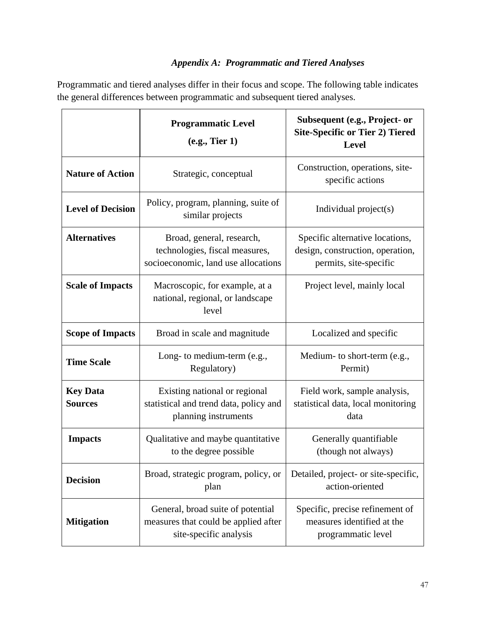## *Appendix A: Programmatic and Tiered Analyses*

Programmatic and tiered analyses differ in their focus and scope. The following table indicates the general differences between programmatic and subsequent tiered analyses.

|                                   | <b>Programmatic Level</b><br>(e.g., Tier 1)                                                         | Subsequent (e.g., Project- or<br><b>Site-Specific or Tier 2) Tiered</b><br><b>Level</b>       |
|-----------------------------------|-----------------------------------------------------------------------------------------------------|-----------------------------------------------------------------------------------------------|
| <b>Nature of Action</b>           | Strategic, conceptual                                                                               | Construction, operations, site-<br>specific actions                                           |
| <b>Level of Decision</b>          | Policy, program, planning, suite of<br>similar projects                                             | Individual project(s)                                                                         |
| <b>Alternatives</b>               | Broad, general, research,<br>technologies, fiscal measures,<br>socioeconomic, land use allocations  | Specific alternative locations,<br>design, construction, operation,<br>permits, site-specific |
| <b>Scale of Impacts</b>           | Macroscopic, for example, at a<br>national, regional, or landscape<br>level                         | Project level, mainly local                                                                   |
| <b>Scope of Impacts</b>           | Broad in scale and magnitude                                                                        | Localized and specific                                                                        |
| <b>Time Scale</b>                 | Long- to medium-term (e.g.,<br>Regulatory)                                                          | Medium- to short-term (e.g.,<br>Permit)                                                       |
| <b>Key Data</b><br><b>Sources</b> | Existing national or regional<br>statistical and trend data, policy and<br>planning instruments     | Field work, sample analysis,<br>statistical data, local monitoring<br>data                    |
| <b>Impacts</b>                    | Qualitative and maybe quantitative<br>to the degree possible                                        | Generally quantifiable<br>(though not always)                                                 |
| <b>Decision</b>                   | Broad, strategic program, policy, or<br>plan                                                        | Detailed, project- or site-specific,<br>action-oriented                                       |
| <b>Mitigation</b>                 | General, broad suite of potential<br>measures that could be applied after<br>site-specific analysis | Specific, precise refinement of<br>measures identified at the<br>programmatic level           |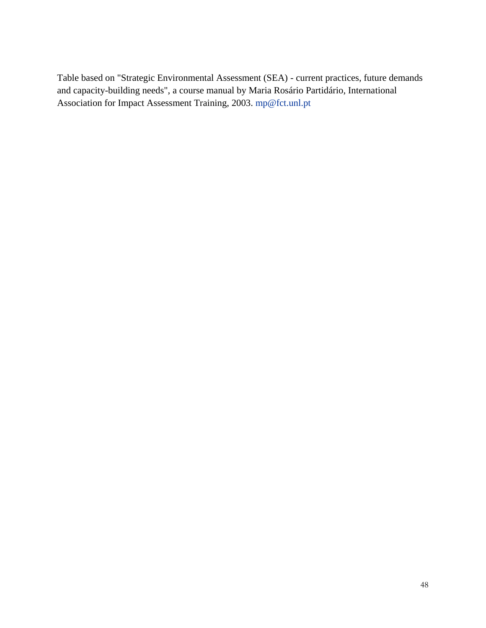Table based on "Strategic Environmental Assessment (SEA) - current practices, future demands and capacity-building needs", a course manual by Maria Rosário Partidário, International Association for Impact Assessment Training, 2003. [mp@fct.unl.pt](mailto:mp@fct.unl.pt)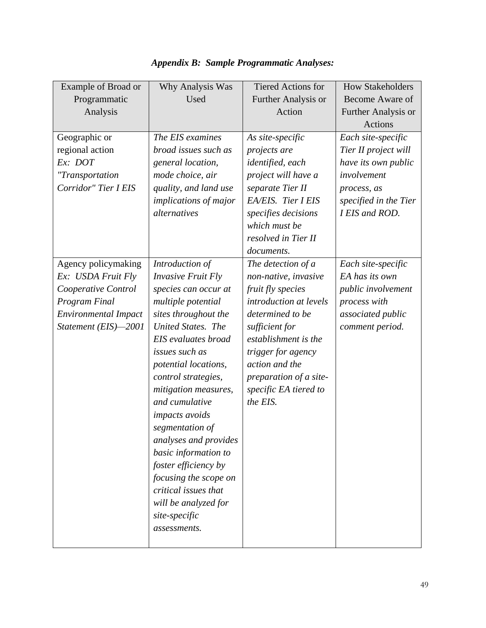| <b>Example of Broad or</b>  | Why Analysis Was             | <b>Tiered Actions for</b> | <b>How Stakeholders</b> |
|-----------------------------|------------------------------|---------------------------|-------------------------|
| Programmatic                | Used                         | Further Analysis or       | Become Aware of         |
| Analysis                    |                              | Action                    | Further Analysis or     |
|                             |                              |                           | Actions                 |
| Geographic or               | The EIS examines             | As site-specific          | Each site-specific      |
| regional action             | broad issues such as         | projects are              | Tier II project will    |
| Ex: DOT                     | general location,            | identified, each          | have its own public     |
| "Transportation             | mode choice, air             | project will have a       | involvement             |
| Corridor" Tier I EIS        | quality, and land use        | separate Tier II          | process, as             |
|                             | <i>implications of major</i> | EA/EIS. Tier I EIS        | specified in the Tier   |
|                             | alternatives                 | specifies decisions       | I EIS and ROD.          |
|                             |                              | which must be             |                         |
|                             |                              | resolved in Tier II       |                         |
|                             |                              | documents.                |                         |
| Agency policymaking         | Introduction of              | The detection of a        | Each site-specific      |
| Ex: USDA Fruit Fly          | <b>Invasive Fruit Fly</b>    | non-native, invasive      | EA has its own          |
| Cooperative Control         | species can occur at         | fruit fly species         | public involvement      |
| Program Final               | multiple potential           | introduction at levels    | process with            |
| <b>Environmental Impact</b> | sites throughout the         | determined to be          | associated public       |
| Statement (EIS)-2001        | United States. The           | sufficient for            | comment period.         |
|                             | EIS evaluates broad          | establishment is the      |                         |
|                             | issues such as               | trigger for agency        |                         |
|                             | potential locations,         | action and the            |                         |
|                             | control strategies,          | preparation of a site-    |                         |
|                             | mitigation measures,         | specific EA tiered to     |                         |
|                             | and cumulative               | the EIS.                  |                         |
|                             | <i>impacts avoids</i>        |                           |                         |
|                             | segmentation of              |                           |                         |
|                             | analyses and provides        |                           |                         |
|                             | basic information to         |                           |                         |
|                             | foster efficiency by         |                           |                         |
|                             | focusing the scope on        |                           |                         |
|                             | critical issues that         |                           |                         |
|                             | will be analyzed for         |                           |                         |
|                             | site-specific                |                           |                         |
|                             | assessments.                 |                           |                         |
|                             |                              |                           |                         |

## *Appendix B: Sample Programmatic Analyses:*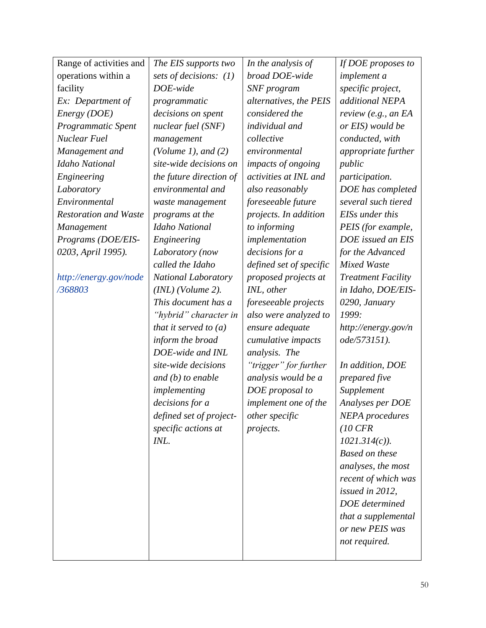| Range of activities and      | The EIS supports two    | In the analysis of      | If DOE proposes to        |
|------------------------------|-------------------------|-------------------------|---------------------------|
| operations within a          | sets of decisions: (1)  | broad DOE-wide          | <i>implement a</i>        |
| facility                     | DOE-wide                | SNF program             | specific project,         |
| Ex: Department of            | programmatic            | alternatives, the PEIS  | additional NEPA           |
| Energy (DOE)                 | decisions on spent      | considered the          | review (e.g., an $EA$     |
| Programmatic Spent           | nuclear fuel (SNF)      | individual and          | or EIS) would be          |
| <b>Nuclear Fuel</b>          | management              | collective              | conducted, with           |
| Management and               | (Volume 1), and $(2)$   | environmental           | appropriate further       |
| <b>Idaho National</b>        | site-wide decisions on  | impacts of ongoing      | public                    |
| Engineering                  | the future direction of | activities at INL and   | participation.            |
| Laboratory                   | environmental and       | also reasonably         | DOE has completed         |
| Environmental                | waste management        | foreseeable future      | several such tiered       |
| <b>Restoration and Waste</b> | programs at the         | projects. In addition   | EISs under this           |
| <b>Management</b>            | Idaho National          | to informing            | PEIS (for example,        |
| Programs (DOE/EIS-           | Engineering             | implementation          | DOE issued an EIS         |
| 0203, April 1995).           | Laboratory (now         | decisions for a         | for the Advanced          |
|                              | called the Idaho        | defined set of specific | <b>Mixed Waste</b>        |
| http://energy.gov/node       | National Laboratory     | proposed projects at    | <b>Treatment Facility</b> |
| /368803                      | $(INL)$ (Volume 2).     | INL, other              | in Idaho, DOE/EIS-        |
|                              | This document has a     | foreseeable projects    | 0290, January             |
|                              | "hybrid" character in   | also were analyzed to   | 1999:                     |
|                              | that it served to $(a)$ | ensure adequate         | http://energy.gov/n       |
|                              | inform the broad        | cumulative impacts      | ode/573151).              |
|                              | DOE-wide and INL        | analysis. The           |                           |
|                              | site-wide decisions     | "trigger" for further   | In addition, DOE          |
|                              | and $(b)$ to enable     | analysis would be a     | prepared five             |
|                              | implementing            | DOE proposal to         | Supplement                |
|                              | decisions for a         | implement one of the    | Analyses per DOE          |
|                              | defined set of project- | other specific          | <b>NEPA</b> procedures    |
|                              | specific actions at     | projects.               | $(10 \text{ CFR})$        |
|                              | INL.                    |                         | $1021.314(c)$ ).          |
|                              |                         |                         | Based on these            |
|                              |                         |                         | analyses, the most        |
|                              |                         |                         | recent of which was       |
|                              |                         |                         | issued in 2012,           |
|                              |                         |                         | DOE determined            |
|                              |                         |                         | that a supplemental       |
|                              |                         |                         | or new PEIS was           |
|                              |                         |                         | not required.             |
|                              |                         |                         |                           |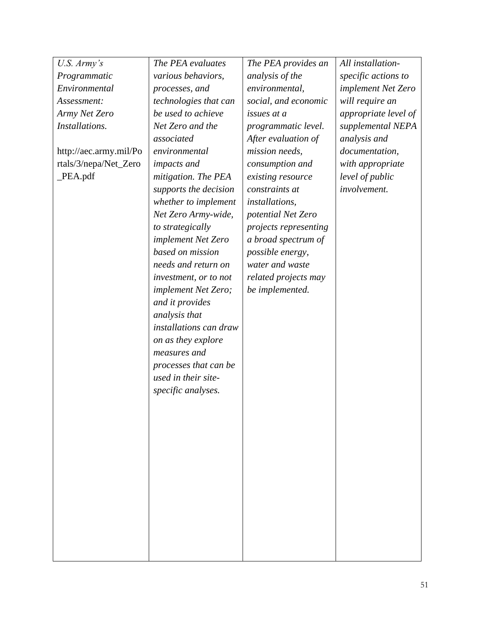| U.S. Army's            | The PEA evaluates          | The PEA provides an   | All installation-    |
|------------------------|----------------------------|-----------------------|----------------------|
| Programmatic           | various behaviors,         | analysis of the       | specific actions to  |
| Environmental          | processes, and             | environmental,        | implement Net Zero   |
| Assessment:            | technologies that can      | social, and economic  | will require an      |
| Army Net Zero          | be used to achieve         | issues at a           | appropriate level of |
| Installations.         | Net Zero and the           | programmatic level.   | supplemental NEPA    |
|                        | associated                 | After evaluation of   | analysis and         |
| http://aec.army.mil/Po | environmental              | mission needs,        | documentation,       |
| rtals/3/nepa/Net_Zero  | impacts and                | consumption and       | with appropriate     |
| PEA.pdf                | mitigation. The PEA        | existing resource     | level of public      |
|                        | supports the decision      | constraints at        | involvement.         |
|                        | whether to implement       | <i>installations,</i> |                      |
|                        | Net Zero Army-wide,        | potential Net Zero    |                      |
|                        | to strategically           | projects representing |                      |
|                        | implement Net Zero         | a broad spectrum of   |                      |
|                        | based on mission           | possible energy,      |                      |
|                        | needs and return on        | water and waste       |                      |
|                        | investment, or to not      | related projects may  |                      |
|                        | <i>implement Net Zero;</i> | be implemented.       |                      |
|                        | and it provides            |                       |                      |
|                        | analysis that              |                       |                      |
|                        | installations can draw     |                       |                      |
|                        | on as they explore         |                       |                      |
|                        | measures and               |                       |                      |
|                        | processes that can be      |                       |                      |
|                        | used in their site-        |                       |                      |
|                        | specific analyses.         |                       |                      |
|                        |                            |                       |                      |
|                        |                            |                       |                      |
|                        |                            |                       |                      |
|                        |                            |                       |                      |
|                        |                            |                       |                      |
|                        |                            |                       |                      |
|                        |                            |                       |                      |
|                        |                            |                       |                      |
|                        |                            |                       |                      |
|                        |                            |                       |                      |
|                        |                            |                       |                      |
|                        |                            |                       |                      |
|                        |                            |                       |                      |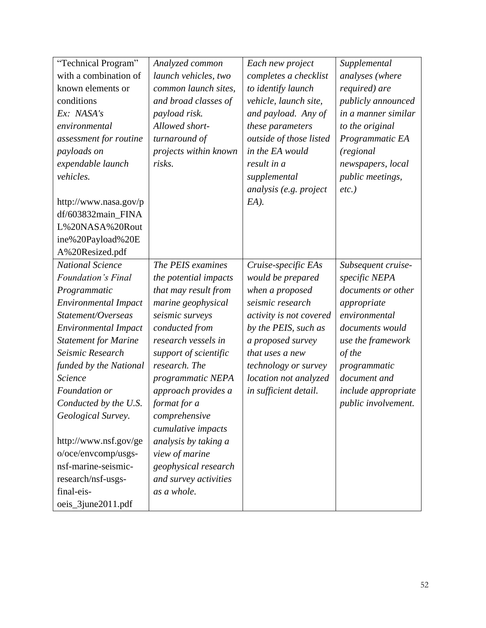| "Technical Program"         | Analyzed common       | Each new project            | Supplemental               |
|-----------------------------|-----------------------|-----------------------------|----------------------------|
| with a combination of       | launch vehicles, two  | completes a checklist       | analyses (where            |
| known elements or           | common launch sites,  | to identify launch          | required) are              |
| conditions                  | and broad classes of  | vehicle, launch site,       | publicly announced         |
| Ex: NASA's                  | payload risk.         | and payload. Any of         | in a manner similar        |
| environmental               | Allowed short-        | these parameters            | to the original            |
| assessment for routine      | turnaround of         | outside of those listed     | Programmatic EA            |
| payloads on                 | projects within known | in the EA would             | (regional)                 |
| expendable launch           | risks.                | result in a                 | newspapers, local          |
| vehicles.                   |                       | supplemental                | <i>public meetings,</i>    |
|                             |                       | analysis (e.g. project      | $etc.$ )                   |
| http://www.nasa.gov/p       |                       | $EA$ ).                     |                            |
| df/603832main_FINA          |                       |                             |                            |
| L%20NASA%20Rout             |                       |                             |                            |
| ine%20Payload%20E           |                       |                             |                            |
| A%20Resized.pdf             |                       |                             |                            |
| <b>National Science</b>     | The PEIS examines     | Cruise-specific EAs         | Subsequent cruise-         |
| <b>Foundation's Final</b>   | the potential impacts | would be prepared           | specific NEPA              |
| Programmatic                | that may result from  | when a proposed             | documents or other         |
| <b>Environmental Impact</b> | marine geophysical    | seismic research            | appropriate                |
| Statement/Overseas          | seismic surveys       | activity is not covered     | environmental              |
| <b>Environmental Impact</b> | conducted from        | by the PEIS, such as        | documents would            |
| <b>Statement for Marine</b> | research vessels in   | a proposed survey           | use the framework          |
| Seismic Research            | support of scientific | that uses a new             | of the                     |
| funded by the National      | research. The         | <i>technology or survey</i> | programmatic               |
| <i><u>Science</u></i>       | programmatic NEPA     | location not analyzed       | document and               |
| Foundation or               | approach provides a   | in sufficient detail.       | <i>include appropriate</i> |
| Conducted by the U.S.       | format for a          |                             | public involvement.        |
| Geological Survey.          | comprehensive         |                             |                            |
|                             | cumulative impacts    |                             |                            |
| http://www.nsf.gov/ge       | analysis by taking a  |                             |                            |
| o/oce/envcomp/usgs-         | view of marine        |                             |                            |
| nsf-marine-seismic-         | geophysical research  |                             |                            |
| research/nsf-usgs-          | and survey activities |                             |                            |
| final-eis-                  | as a whole.           |                             |                            |
| oeis_3june2011.pdf          |                       |                             |                            |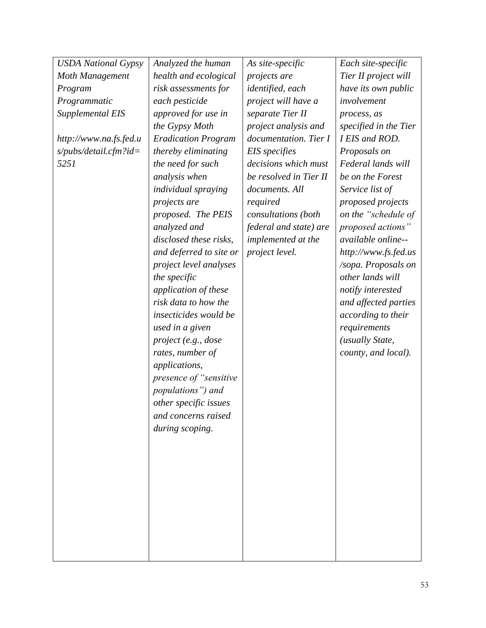| <b>USDA</b> National Gypsy | Analyzed the human         | As site-specific          | Each site-specific    |
|----------------------------|----------------------------|---------------------------|-----------------------|
| Moth Management            | health and ecological      | projects are              | Tier II project will  |
| Program                    | risk assessments for       | identified, each          | have its own public   |
| Programmatic               | each pesticide             | project will have a       | involvement           |
| Supplemental EIS           | approved for use in        | separate Tier II          | process, as           |
|                            | the Gypsy Moth             | project analysis and      | specified in the Tier |
| http://www.na.fs.fed.u     | <b>Eradication Program</b> | documentation. Tier I     | I EIS and ROD.        |
| $s$ /pubs/detail.cfm?id=   | thereby eliminating        | EIS specifies             | Proposals on          |
| 5251                       | the need for such          | decisions which must      | Federal lands will    |
|                            | analysis when              | be resolved in Tier II    | be on the Forest      |
|                            | <i>individual spraying</i> | documents. All            | Service list of       |
|                            | projects are               | required                  | proposed projects     |
|                            | proposed. The PEIS         | consultations (both       | on the "schedule of   |
|                            | analyzed and               | federal and state) are    | proposed actions"     |
|                            | disclosed these risks,     | <i>implemented at the</i> | available online--    |
|                            | and deferred to site or    | project level.            | http://www.fs.fed.us  |
|                            | project level analyses     |                           | /sopa. Proposals on   |
|                            | the specific               |                           | other lands will      |
|                            | application of these       |                           | notify interested     |
|                            | risk data to how the       |                           | and affected parties  |
|                            | insecticides would be      |                           | according to their    |
|                            | used in a given            |                           | requirements          |
|                            | project (e.g., dose        |                           | (usually State,       |
|                            | rates, number of           |                           | county, and local).   |
|                            | applications,              |                           |                       |
|                            | presence of "sensitive"    |                           |                       |
|                            | populations") and          |                           |                       |
|                            | other specific issues      |                           |                       |
|                            | and concerns raised        |                           |                       |
|                            | during scoping.            |                           |                       |
|                            |                            |                           |                       |
|                            |                            |                           |                       |
|                            |                            |                           |                       |
|                            |                            |                           |                       |
|                            |                            |                           |                       |
|                            |                            |                           |                       |
|                            |                            |                           |                       |
|                            |                            |                           |                       |
|                            |                            |                           |                       |
|                            |                            |                           |                       |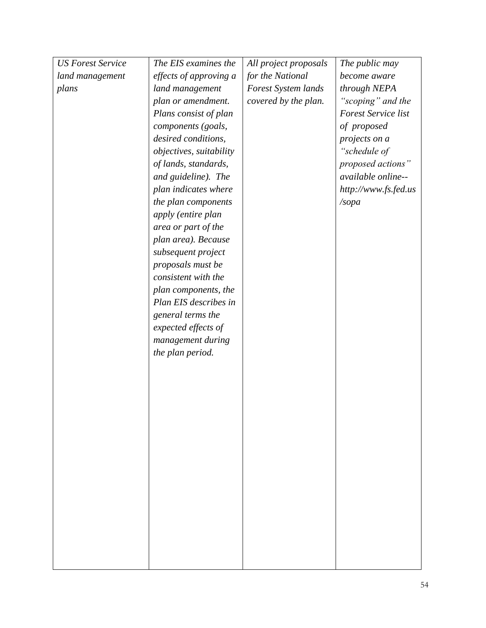| <b>US Forest Service</b> | The EIS examines the    | All project proposals | The public may             |
|--------------------------|-------------------------|-----------------------|----------------------------|
| land management          | effects of approving a  | for the National      | become aware               |
| plans                    | land management         | Forest System lands   | through NEPA               |
|                          | plan or amendment.      | covered by the plan.  | "scoping" and the          |
|                          | Plans consist of plan   |                       | <b>Forest Service list</b> |
|                          | components (goals,      |                       | of proposed                |
|                          | desired conditions,     |                       | projects on a              |
|                          | objectives, suitability |                       | "schedule of               |
|                          | of lands, standards,    |                       | proposed actions"          |
|                          | and guideline). The     |                       | available online--         |
|                          | plan indicates where    |                       | http://www.fs.fed.us       |
|                          | the plan components     |                       | /sopa                      |
|                          | apply (entire plan      |                       |                            |
|                          | area or part of the     |                       |                            |
|                          | plan area). Because     |                       |                            |
|                          | subsequent project      |                       |                            |
|                          | proposals must be       |                       |                            |
|                          | consistent with the     |                       |                            |
|                          | plan components, the    |                       |                            |
|                          | Plan EIS describes in   |                       |                            |
|                          | general terms the       |                       |                            |
|                          | expected effects of     |                       |                            |
|                          | management during       |                       |                            |
|                          | the plan period.        |                       |                            |
|                          |                         |                       |                            |
|                          |                         |                       |                            |
|                          |                         |                       |                            |
|                          |                         |                       |                            |
|                          |                         |                       |                            |
|                          |                         |                       |                            |
|                          |                         |                       |                            |
|                          |                         |                       |                            |
|                          |                         |                       |                            |
|                          |                         |                       |                            |
|                          |                         |                       |                            |
|                          |                         |                       |                            |
|                          |                         |                       |                            |
|                          |                         |                       |                            |
|                          |                         |                       |                            |
|                          |                         |                       |                            |